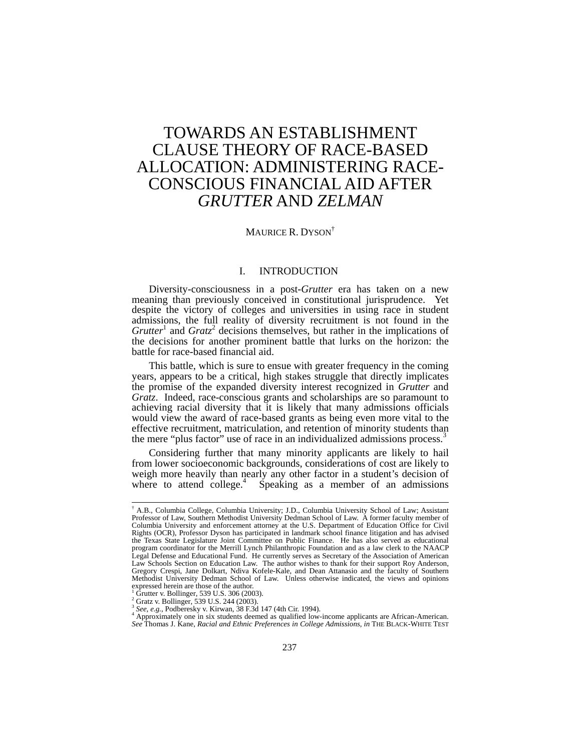# TOWARDS AN ESTABLISHMENT CLAUSE THEORY OF RACE-BASED ALLOCATION: ADMINISTERING RACE-CONSCIOUS FINANCIAL AID AFTER *GRUTTER* AND *ZELMAN*

## MAURICE R. DYSON†

# I. INTRODUCTION

Diversity-consciousness in a post-*Grutter* era has taken on a new meaning than previously conceived in constitutional jurisprudence. Yet despite the victory of colleges and universities in using race in student admissions, the full reality of diversity recruitment is not found in the  $Grutter<sup>1</sup>$  and  $Gratz<sup>2</sup>$  decisions themselves, but rather in the implications of the decisions for another prominent battle that lurks on the horizon: the battle for race-based financial aid.

This battle, which is sure to ensue with greater frequency in the coming years, appears to be a critical, high stakes struggle that directly implicates the promise of the expanded diversity interest recognized in *Grutter* and *Gratz*. Indeed, race-conscious grants and scholarships are so paramount to achieving racial diversity that it is likely that many admissions officials would view the award of race-based grants as being even more vital to the effective recruitment, matriculation, and retention of minority students than the mere "plus factor" use of race in an individualized admissions process.<sup>3</sup>

Considering further that many minority applicants are likely to hail from lower socioeconomic backgrounds, considerations of cost are likely to weigh more heavily than nearly any other factor in a student's decision of where to attend college.<sup>4</sup> Speaking as a member of an admissions

 <sup>†</sup> A.B., Columbia College, Columbia University; J.D., Columbia University School of Law; Assistant Professor of Law, Southern Methodist University Dedman School of Law. A former faculty member of Columbia University and enforcement attorney at the U.S. Department of Education Office for Civil Rights (OCR), Professor Dyson has participated in landmark school finance litigation and has advised the Texas State Legislature Joint Committee on Public Finance. He has also served as educational program coordinator for the Merrill Lynch Philanthropic Foundation and as a law clerk to the NAACP Legal Defense and Educational Fund. He currently serves as Secretary of the Association of American Law Schools Section on Education Law. The author wishes to thank for their support Roy Anderson, Gregory Crespi, Jane Dolkart, Ndiva Kofele-Kale, and Dean Attanasio and the faculty of Southern Methodist University Dedman School of Law. Unless otherwise indicated, the views and opinions expressed herein are those of the author.<br>
<sup>1</sup> Grutter v. Bollinger, 539 U.S. 306 (2003).<br>
<sup>2</sup> Gretz v. Bollinger, 530 U.S. 244 (2003).

Gratz v. Bollinger, 539 U.S. 244 (2003).

<sup>3</sup> *See, e.g.*, Podberesky v. Kirwan, 38 F.3d 147 (4th Cir. 1994). 4

Approximately one in six students deemed as qualified low-income applicants are African-American. *See* Thomas J. Kane, *Racial and Ethnic Preferences in College Admissions*, *in* THE BLACK-WHITE TEST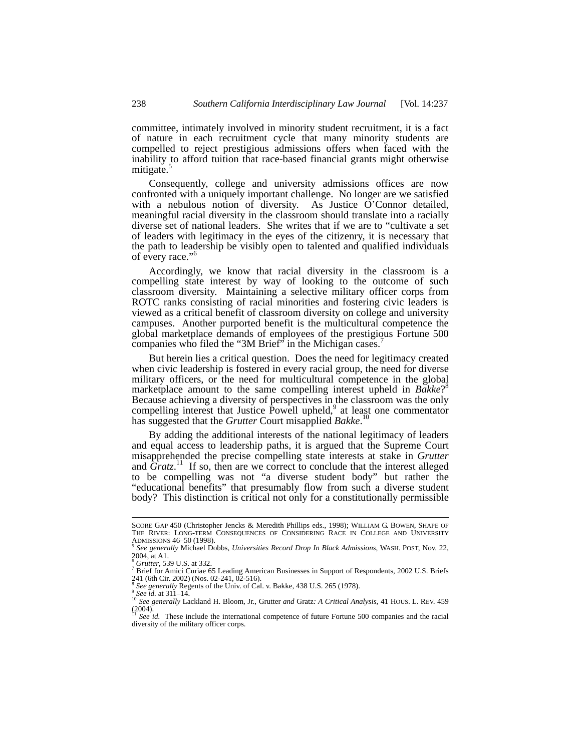committee, intimately involved in minority student recruitment, it is a fact of nature in each recruitment cycle that many minority students are compelled to reject prestigious admissions offers when faced with the inability to afford tuition that race-based financial grants might otherwise mitigate.<sup>5</sup>

Consequently, college and university admissions offices are now confronted with a uniquely important challenge. No longer are we satisfied with a nebulous notion of diversity. As Justice O'Connor detailed, meaningful racial diversity in the classroom should translate into a racially diverse set of national leaders. She writes that if we are to "cultivate a set of leaders with legitimacy in the eyes of the citizenry, it is necessary that the path to leadership be visibly open to talented and qualified individuals of every race."6

Accordingly, we know that racial diversity in the classroom is a compelling state interest by way of looking to the outcome of such classroom diversity. Maintaining a selective military officer corps from ROTC ranks consisting of racial minorities and fostering civic leaders is viewed as a critical benefit of classroom diversity on college and university campuses. Another purported benefit is the multicultural competence the global marketplace demands of employees of the prestigious Fortune 500 companies who filed the "3M Brief" in the Michigan cases.

But herein lies a critical question. Does the need for legitimacy created when civic leadership is fostered in every racial group, the need for diverse military officers, or the need for multicultural competence in the global marketplace amount to the same compelling interest upheld in *Bakke*? 8 Because achieving a diversity of perspectives in the classroom was the only compelling interest that Justice Powell upheld,<sup>9</sup> at least one commentator has suggested that the *Grutter* Court misapplied *Bakke*.

By adding the additional interests of the national legitimacy of leaders and equal access to leadership paths, it is argued that the Supreme Court misapprehended the precise compelling state interests at stake in *Grutter* and *Gratz*.<sup>11</sup> If so, then are we correct to conclude that the interest alleged to be compelling was not "a diverse student body" but rather the "educational benefits" that presumably flow from such a diverse student body? This distinction is critical not only for a constitutionally permissible

SCORE GAP 450 (Christopher Jencks & Meredith Phillips eds., 1998); WILLIAM G. BOWEN, SHAPE OF THE RIVER: LONG-TERM CONSEQUENCES OF CONSIDERING RACE IN COLLEGE AND UNIVERSITY ADMISSIONS 46–50 (1998). 5 *See generally* Michael Dobbs, *Universities Record Drop In Black Admissions*, WASH. POST, Nov. 22,

<sup>2004,</sup> at A1.<br><sup>6</sup> *Grutter*, 539 U.S. at 332.<br><sup>7</sup> Priof for Amisi Guriae 65

Brief for Amici Curiae 65 Leading American Businesses in Support of Respondents, 2002 U.S. Briefs 241 (6th Cir. 2002) (Nos. 02-241,  $02\overline{2}$ -516).<br><sup>8</sup> See generally Regents of the Univ. of Cal. v. Bakke, 438 U.S. 265 (1978).

see generally Regime of the Sunney Second of the Community of the Second Archives of the See generally Lackland H. Bloom, Jr., Grutter and Gratz: A Critical Analysis, 41 HOUS. L. REV. 459 (2004). <sup>11</sup> *See id.* These include the international competence of future Fortune 500 companies and the racial

diversity of the military officer corps.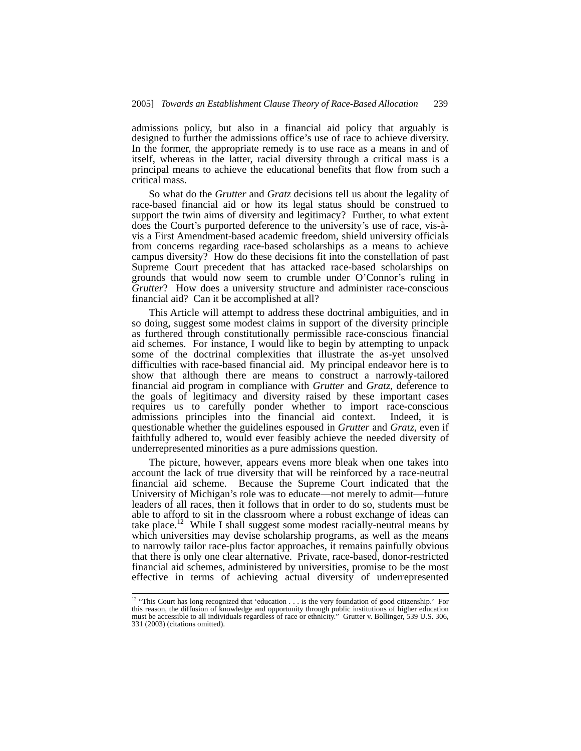admissions policy, but also in a financial aid policy that arguably is designed to further the admissions office's use of race to achieve diversity. In the former, the appropriate remedy is to use race as a means in and of itself, whereas in the latter, racial diversity through a critical mass is a principal means to achieve the educational benefits that flow from such a critical mass.

So what do the *Grutter* and *Gratz* decisions tell us about the legality of race-based financial aid or how its legal status should be construed to support the twin aims of diversity and legitimacy? Further, to what extent does the Court's purported deference to the university's use of race, vis-àvis a First Amendment-based academic freedom, shield university officials from concerns regarding race-based scholarships as a means to achieve campus diversity? How do these decisions fit into the constellation of past Supreme Court precedent that has attacked race-based scholarships on grounds that would now seem to crumble under O'Connor's ruling in *Grutter*? How does a university structure and administer race-conscious financial aid? Can it be accomplished at all?

This Article will attempt to address these doctrinal ambiguities, and in so doing, suggest some modest claims in support of the diversity principle as furthered through constitutionally permissible race-conscious financial aid schemes. For instance, I would like to begin by attempting to unpack some of the doctrinal complexities that illustrate the as-yet unsolved difficulties with race-based financial aid. My principal endeavor here is to show that although there are means to construct a narrowly-tailored financial aid program in compliance with *Grutter* and *Gratz*, deference to the goals of legitimacy and diversity raised by these important cases requires us to carefully ponder whether to import race-conscious admissions principles into the financial aid context. Indeed, it is questionable whether the guidelines espoused in *Grutter* and *Gratz*, even if faithfully adhered to, would ever feasibly achieve the needed diversity of underrepresented minorities as a pure admissions question.

The picture, however, appears evens more bleak when one takes into account the lack of true diversity that will be reinforced by a race-neutral financial aid scheme. Because the Supreme Court indicated that the University of Michigan's role was to educate—not merely to admit—future leaders of all races, then it follows that in order to do so, students must be able to afford to sit in the classroom where a robust exchange of ideas can take place.<sup>12</sup> While I shall suggest some modest racially-neutral means by which universities may devise scholarship programs, as well as the means to narrowly tailor race-plus factor approaches, it remains painfully obvious that there is only one clear alternative. Private, race-based, donor-restricted financial aid schemes, administered by universities, promise to be the most effective in terms of achieving actual diversity of underrepresented

<sup>&</sup>lt;sup>12</sup> "This Court has long recognized that 'education . . . is the very foundation of good citizenship.' For this reason, the diffusion of knowledge and opportunity through public institutions of higher education must be accessible to all individuals regardless of race or ethnicity." Grutter v. Bollinger, 539 U.S. 306, 331 (2003) (citations omitted).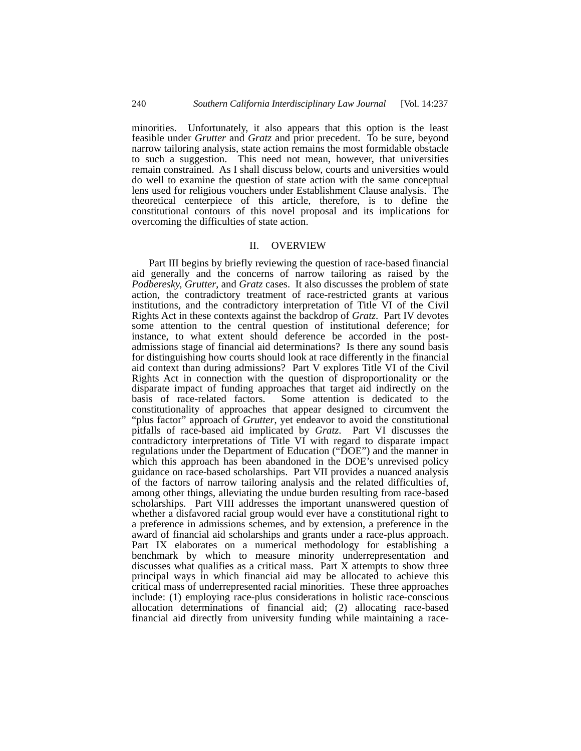minorities. Unfortunately, it also appears that this option is the least feasible under *Grutter* and *Gratz* and prior precedent. To be sure, beyond narrow tailoring analysis, state action remains the most formidable obstacle to such a suggestion. This need not mean, however, that universities remain constrained. As I shall discuss below, courts and universities would do well to examine the question of state action with the same conceptual lens used for religious vouchers under Establishment Clause analysis. The theoretical centerpiece of this article, therefore, is to define the constitutional contours of this novel proposal and its implications for overcoming the difficulties of state action.

## II. OVERVIEW

Part III begins by briefly reviewing the question of race-based financial aid generally and the concerns of narrow tailoring as raised by the *Podberesky, Grutter*, and *Gratz* cases. It also discusses the problem of state action, the contradictory treatment of race-restricted grants at various institutions, and the contradictory interpretation of Title VI of the Civil Rights Act in these contexts against the backdrop of *Gratz*. Part IV devotes some attention to the central question of institutional deference; for instance, to what extent should deference be accorded in the postadmissions stage of financial aid determinations? Is there any sound basis for distinguishing how courts should look at race differently in the financial aid context than during admissions? Part V explores Title VI of the Civil Rights Act in connection with the question of disproportionality or the disparate impact of funding approaches that target aid indirectly on the basis of race-related factors. Some attention is dedicated to the constitutionality of approaches that appear designed to circumvent the "plus factor" approach of *Grutter*, yet endeavor to avoid the constitutional pitfalls of race-based aid implicated by *Gratz*. Part VI discusses the contradictory interpretations of Title VI with regard to disparate impact regulations under the Department of Education ("DOE") and the manner in which this approach has been abandoned in the DOE's unrevised policy guidance on race-based scholarships. Part VII provides a nuanced analysis of the factors of narrow tailoring analysis and the related difficulties of, among other things, alleviating the undue burden resulting from race-based scholarships. Part VIII addresses the important unanswered question of whether a disfavored racial group would ever have a constitutional right to a preference in admissions schemes, and by extension, a preference in the award of financial aid scholarships and grants under a race-plus approach. Part IX elaborates on a numerical methodology for establishing a benchmark by which to measure minority underrepresentation and discusses what qualifies as a critical mass. Part X attempts to show three principal ways in which financial aid may be allocated to achieve this critical mass of underrepresented racial minorities. These three approaches include: (1) employing race-plus considerations in holistic race-conscious allocation determinations of financial aid; (2) allocating race-based financial aid directly from university funding while maintaining a race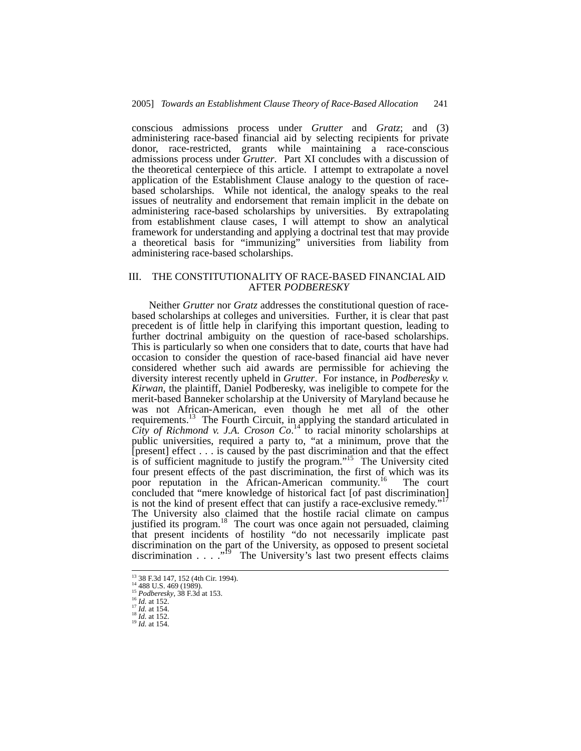conscious admissions process under *Grutter* and *Gratz*; and (3) administering race-based financial aid by selecting recipients for private donor, race-restricted, grants while maintaining a race-conscious admissions process under *Grutter*. Part XI concludes with a discussion of the theoretical centerpiece of this article. I attempt to extrapolate a novel application of the Establishment Clause analogy to the question of racebased scholarships. While not identical, the analogy speaks to the real issues of neutrality and endorsement that remain implicit in the debate on administering race-based scholarships by universities. By extrapolating from establishment clause cases, I will attempt to show an analytical framework for understanding and applying a doctrinal test that may provide a theoretical basis for "immunizing" universities from liability from administering race-based scholarships.

## III. THE CONSTITUTIONALITY OF RACE-BASED FINANCIAL AID AFTER *PODBERESKY*

Neither *Grutter* nor *Gratz* addresses the constitutional question of racebased scholarships at colleges and universities. Further, it is clear that past precedent is of little help in clarifying this important question, leading to further doctrinal ambiguity on the question of race-based scholarships. This is particularly so when one considers that to date, courts that have had occasion to consider the question of race-based financial aid have never considered whether such aid awards are permissible for achieving the diversity interest recently upheld in *Grutter*. For instance, in *Podberesky v. Kirwan*, the plaintiff, Daniel Podberesky, was ineligible to compete for the merit-based Banneker scholarship at the University of Maryland because he was not African-American, even though he met all of the other requirements.<sup>13</sup> The Fourth Circuit, in applying the standard articulated in *City of Richmond v. J.A. Croson*  $Co^{14}$  *to racial minority scholarships at* public universities, required a party to, "at a minimum, prove that the [present] effect . . . is caused by the past discrimination and that the effect is of sufficient magnitude to justify the program."<sup>15</sup> The University cited four present effects of the past discrimination, the first of which was its poor reputation in the African-American community.<sup>16</sup> The court concluded that "mere knowledge of historical fact [of past discrimination] is not the kind of present effect that can justify a race-exclusive remedy."<sup>17</sup> The University also claimed that the hostile racial climate on campus justified its program.<sup>18</sup> The court was once again not persuaded, claiming that present incidents of hostility "do not necessarily implicate past discrimination on the part of the University, as opposed to present societal discrimination  $\ldots$  ."<sup>19</sup> The University's last two present effects claims

 <sup>13 38</sup> F.3d 147, 152 (4th Cir. 1994). 14 488 U.S. 469 (1989). 15 *Podberesky*, 38 F.3d at 153. 16 *Id.* at 152. 17 *Id.* at 154. 18 *Id.* at 152. 19 *Id.* at 154.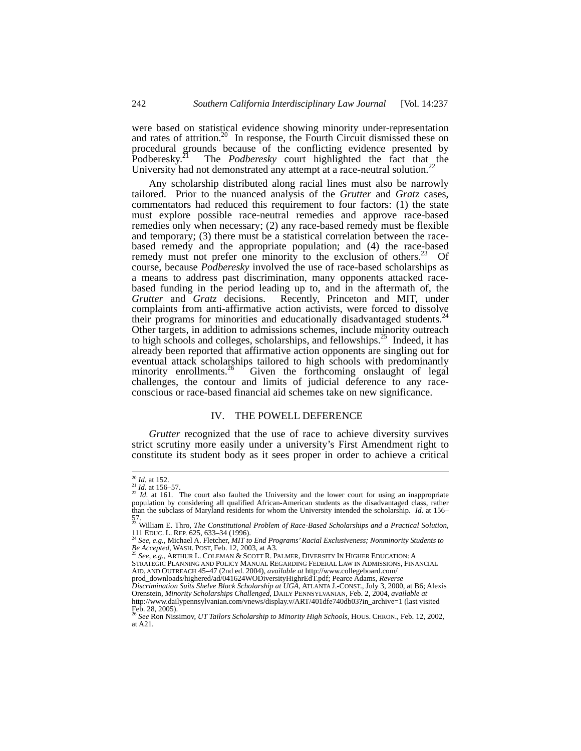were based on statistical evidence showing minority under-representation and rates of attrition.<sup>20</sup> In response, the Fourth Circuit dismissed these on procedural grounds because of the conflicting evidence presented by Podberesky.21 The *Podberesky* court highlighted the fact that the University had not demonstrated any attempt at a race-neutral solution.<sup>22</sup>

Any scholarship distributed along racial lines must also be narrowly tailored. Prior to the nuanced analysis of the *Grutter* and *Gratz* cases, commentators had reduced this requirement to four factors: (1) the state must explore possible race-neutral remedies and approve race-based remedies only when necessary; (2) any race-based remedy must be flexible and temporary; (3) there must be a statistical correlation between the racebased remedy and the appropriate population; and (4) the race-based remedy must not prefer one minority to the exclusion of others.<sup>23</sup> Of course, because *Podberesky* involved the use of race-based scholarships as a means to address past discrimination, many opponents attacked racebased funding in the period leading up to, and in the aftermath of, the *Grutter* and *Gratz* decisions. Recently, Princeton and MIT, under complaints from anti-affirmative action activists, were forced to dissolve their programs for minorities and educationally disadvantaged students.<sup>24</sup> Other targets, in addition to admissions schemes, include minority outreach to high schools and colleges, scholarships, and fellowships.<sup>25</sup> Indeed, it has already been reported that affirmative action opponents are singling out for eventual attack scholarships tailored to high schools with predominantly minority enrollments.<sup>26</sup> Given the forthcoming onslaught of legal Given the forthcoming onslaught of legal challenges, the contour and limits of judicial deference to any raceconscious or race-based financial aid schemes take on new significance.

#### IV. THE POWELL DEFERENCE

*Grutter* recognized that the use of race to achieve diversity survives strict scrutiny more easily under a university's First Amendment right to constitute its student body as it sees proper in order to achieve a critical

<sup>&</sup>lt;sup>20</sup> *Id.* at 152.<br><sup>21</sup> *Id.* at 156–57.<br><sup>22</sup> *Id.* at 161. The court also faulted the University and the lower court for using an inappropriate<br>population by considering all qualified African-American students as the disa than the subclass of Maryland residents for whom the University intended the scholarship. *Id*. at 156–

<sup>57.</sup>  23 William E. Thro, *The Constitutional Problem of Race-Based Scholarships and a Practical Solution*, 111 EDUC. L. REP. 625, 633–34 (1996). 24 *See, e.g.,* Michael A. Fletcher, *MIT to End Programs' Racial Exclusiveness; Nonminority Students to* 

*Be Accepted*, WASH. POST, Feb. 12, 2003, at A3. 25 *See, e.g.*, ARTHUR L. COLEMAN & SCOTT R. PALMER, DIVERSITY IN HIGHER EDUCATION: A

STRATEGIC PLANNING AND POLICY MANUAL REGARDING FEDERAL LAW IN ADMISSIONS, FINANCIAL AID, AND OUTREACH 45–47 (2nd ed. 2004), *available at* http://www.collegeboard.com/

prod\_downloads/highered/ad/041624WODiversityHighrEdT.pdf; Pearce Adams, *Reverse* 

*Discrimination Suits Shelve Black Scholarship at UGA*, ATLANTA J.-CONST., July 3, 2000, at B6; Alexis Orenstein, *Minority Scholarships Challenged*, DAILY PENNSYLVANIAN, Feb. 2, 2004, *available at* http://www.dailypennsylvanian.com/vnews/display.v/ART/401dfe740db03?in\_archive=1 (last visited  $\text{Feb. 28, 2005}.$ 

<sup>26</sup> *See* Ron Nissimov, *UT Tailors Scholarship to Minority High Schools*, HOUS. CHRON., Feb. 12, 2002, at A21.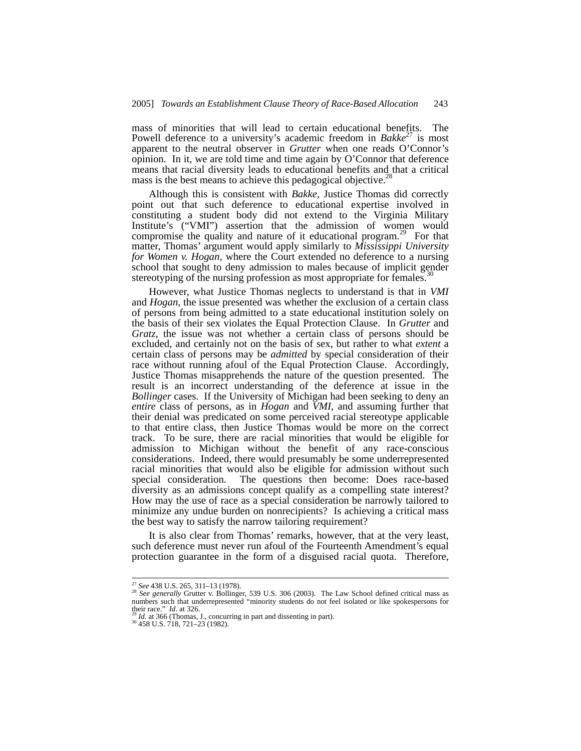mass of minorities that will lead to certain educational benefits. The Powell deference to a university's academic freedom in *Bakke*<sup>27</sup> is most apparent to the neutral observer in *Grutter* when one reads O'Connor's opinion*.* In it, we are told time and time again by O'Connor that deference means that racial diversity leads to educational benefits and that a critical mass is the best means to achieve this pedagogical objective.<sup>28</sup>

Although this is consistent with *Bakke*, Justice Thomas did correctly point out that such deference to educational expertise involved in constituting a student body did not extend to the Virginia Military Institute's ("VMI") assertion that the admission of women would compromise the quality and nature of it educational program.<sup>29</sup> For that matter, Thomas' argument would apply similarly to *Mississippi University for Women v. Hogan,* where the Court extended no deference to a nursing school that sought to deny admission to males because of implicit gender stereotyping of the nursing profession as most appropriate for females.<sup>3</sup>

However, what Justice Thomas neglects to understand is that in *VMI* and *Hogan*, the issue presented was whether the exclusion of a certain class of persons from being admitted to a state educational institution solely on the basis of their sex violates the Equal Protection Clause. In *Grutter* and *Gratz*, the issue was not whether a certain class of persons should be excluded, and certainly not on the basis of sex, but rather to what *extent* a certain class of persons may be *admitted* by special consideration of their race without running afoul of the Equal Protection Clause. Accordingly, Justice Thomas misapprehends the nature of the question presented. The result is an incorrect understanding of the deference at issue in the *Bollinger* cases. If the University of Michigan had been seeking to deny an *entire* class of persons, as in *Hogan* and *VMI*, and assuming further that their denial was predicated on some perceived racial stereotype applicable to that entire class, then Justice Thomas would be more on the correct track. To be sure, there are racial minorities that would be eligible for admission to Michigan without the benefit of any race-conscious considerations. Indeed, there would presumably be some underrepresented racial minorities that would also be eligible for admission without such special consideration. The questions then become: Does race-based diversity as an admissions concept qualify as a compelling state interest? How may the use of race as a special consideration be narrowly tailored to minimize any undue burden on nonrecipients? Is achieving a critical mass the best way to satisfy the narrow tailoring requirement?

It is also clear from Thomas' remarks, however, that at the very least, such deference must never run afoul of the Fourteenth Amendment's equal protection guarantee in the form of a disguised racial quota. Therefore,

<sup>27</sup> *See* 438 U.S. 265, 311–13 (1978). 28 *See generally* Grutter v. Bollinger, 539 U.S. 306 (2003). The Law School defined critical mass as numbers such that underrepresented "minority students do not feel isolated or like spokespersons for their race."  $Id$  at 326.

<sup>&</sup>lt;sup>29</sup> *Id.* at 366 (Thomas, J., concurring in part and dissenting in part). <sup>30</sup> 458 U.S. 718, 721–23 (1982).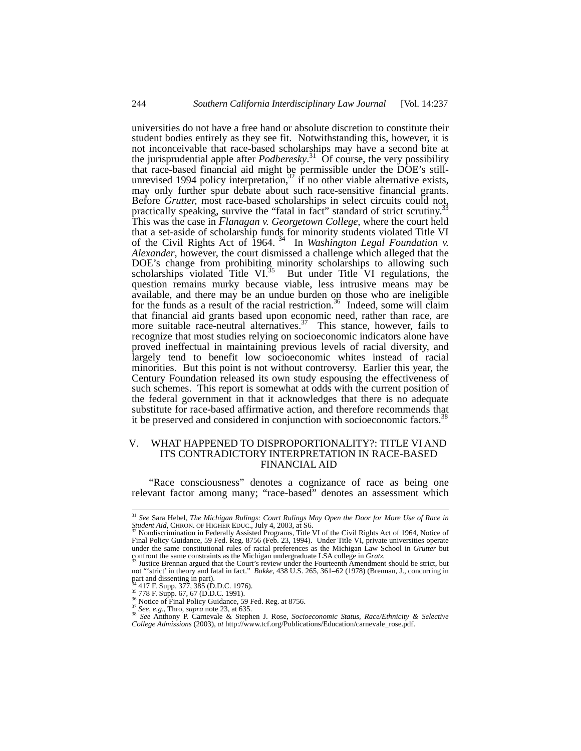universities do not have a free hand or absolute discretion to constitute their student bodies entirely as they see fit. Notwithstanding this, however, it is not inconceivable that race-based scholarships may have a second bite at the jurisprudential apple after  $Podberesky$ <sup>31</sup> Of course, the very possibility that race-based financial aid might be permissible under the DOE's stillunrevised 1994 policy interpretation,<sup>32</sup> if no other viable alternative exists, may only further spur debate about such race-sensitive financial grants. Before *Grutter,* most race-based scholarships in select circuits could not, practically speaking, survive the "fatal in fact" standard of strict scrutiny.<sup>3</sup> This was the case in *Flanagan v. Georgetown College*, where the court held that a set-aside of scholarship funds for minority students violated Title VI of the Civil Rights Act of 1964. 34 In *Washington Legal Foundation v. Alexander*, however, the court dismissed a challenge which alleged that the DOE's change from prohibiting minority scholarships to allowing such scholarships violated Title VI. $35$  But under Title VI regulations, the question remains murky because viable, less intrusive means may be available, and there may be an undue burden on those who are ineligible for the funds as a result of the racial restriction.<sup>36</sup> Indeed, some will claim that financial aid grants based upon economic need, rather than race, are more suitable race-neutral alternatives.<sup>37</sup> This stance, however, fails to recognize that most studies relying on socioeconomic indicators alone have proved ineffectual in maintaining previous levels of racial diversity, and largely tend to benefit low socioeconomic whites instead of racial minorities. But this point is not without controversy. Earlier this year, the Century Foundation released its own study espousing the effectiveness of such schemes. This report is somewhat at odds with the current position of the federal government in that it acknowledges that there is no adequate substitute for race-based affirmative action, and therefore recommends that it be preserved and considered in conjunction with socioeconomic factors.<sup>3</sup>

## V. WHAT HAPPENED TO DISPROPORTIONALITY?: TITLE VI AND ITS CONTRADICTORY INTERPRETATION IN RACE-BASED FINANCIAL AID

"Race consciousness" denotes a cognizance of race as being one relevant factor among many; "race-based" denotes an assessment which

 <sup>31</sup> *See* Sara Hebel, *The Michigan Rulings: Court Rulings May Open the Door for More Use of Race in Student Aid*, CHRON. OF HIGHER EDUC., July 4, 2003, at S6.<br><sup>32</sup> Nondiscrimination in Federally Assisted Programs, Title VI of the Civil Rights Act of 1964, Notice of

Final Policy Guidance, 59 Fed. Reg. 8756 (Feb. 23, 1994). Under Title VI, private universities operate under the same constitutional rules of racial preferences as the Michigan Law School in *Grutter* but confront the same constraints as the Michigan undergraduate LSA college in *Gratz.*<br><sup>33</sup> Justice Brennan argued that the Court's review under the Fourteenth Amendment should be strict, but

not "'strict' in theory and fatal in fact." *Bakke*, 438 U.S. 265, 361–62 (1978) (Brennan, J., concurring in part and dissenting in part).<br><sup>34</sup> 417 F. Supp. 377, 385 (D.D.C. 1976).<br><sup>35</sup> 778 F. Supp. 67, 67 (D.D.C. 1991).

<sup>&</sup>lt;sup>34</sup> 417 F. Supp. 377, 385 (D.D.C. 1976).<br><sup>36</sup> 778 F. Supp. 67, 67 (D.D.C. 1991).<br><sup>36</sup> Notice of Final Policy Guidance, 59 Fed. Reg. at 8756.<br><sup>37</sup> See, e.g., Thro, s*upra* note 23, at 635.<br><sup>38</sup> See Anthony P. Carnevale & S *College Admissions* (2003), *at* http://www.tcf.org/Publications/Education/carnevale\_rose.pdf.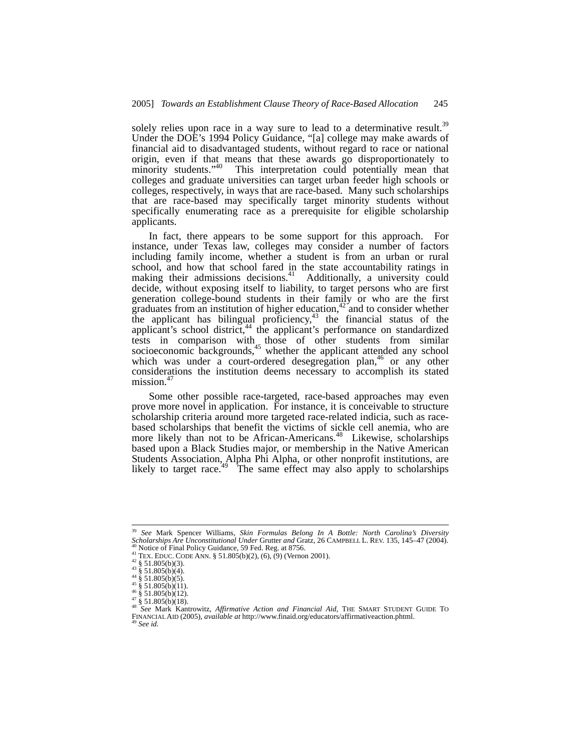solely relies upon race in a way sure to lead to a determinative result.<sup>39</sup> Under the DOE's 1994 Policy Guidance, "[a] college may make awards of financial aid to disadvantaged students, without regard to race or national origin, even if that means that these awards go disproportionately to minority students."<sup>40</sup> This interpretation could potentially mean that colleges and graduate universities can target urban feeder high schools or colleges, respectively, in ways that are race-based. Many such scholarships that are race-based may specifically target minority students without specifically enumerating race as a prerequisite for eligible scholarship applicants.

In fact, there appears to be some support for this approach. For instance, under Texas law, colleges may consider a number of factors including family income, whether a student is from an urban or rural school, and how that school fared in the state accountability ratings in making their admissions decisions.<sup>41</sup> Additionally, a university could decide, without exposing itself to liability, to target persons who are first generation college-bound students in their family or who are the first graduates from an institution of higher education, $42^{\circ}$  and to consider whether the applicant has bilingual proficiency, $43$  the financial status of the applicant's school district, $44$  the applicant's performance on standardized tests in comparison with those of other students from similar socioeconomic backgrounds,<sup>45</sup> whether the applicant attended any school which was under a court-ordered desegregation plan, $46$  or any other considerations the institution deems necessary to accomplish its stated mission.<sup>4</sup>

Some other possible race-targeted, race-based approaches may even prove more novel in application. For instance, it is conceivable to structure scholarship criteria around more targeted race-related indicia, such as racebased scholarships that benefit the victims of sickle cell anemia, who are more likely than not to be African-Americans.<sup>48</sup> Likewise, scholarships based upon a Black Studies major, or membership in the Native American Students Association, Alpha Phi Alpha, or other nonprofit institutions, are likely to target race.<sup>49</sup> The same effect may also apply to scholarships

<sup>&</sup>lt;sup>39</sup> *See* Mark Spencer Williams, *Skin Formulas Belong In A Bottle: North Carolina's Diversity <i>Scholarships Are Unconstitutional Under* Grutter *and* Gratz, 26 CAMPBELL L. REV. 135, 145–47 (2004).

<sup>&</sup>lt;sup>40</sup> Notice of Final Policy Guidance, 59 Fed. Reg. at 8756.<br>
<sup>41</sup> TEX. EDUC. CODE ANN. § 51.805(b)(2), (6), (9) (Vernon 2001).<br>
<sup>42</sup> § 51.805(b)(3).<br>
<sup>44</sup> § 51.805(b)(4).<br>
<sup>44</sup> § 51.805(b)(4).<br>
<sup>45</sup> § 51.805(b)(11).<br>
<sup>45</sup> FINANCIAL AID (2005), *available at* http://www.finaid.org/educators/affirmativeaction.phtml. 49 *See id.*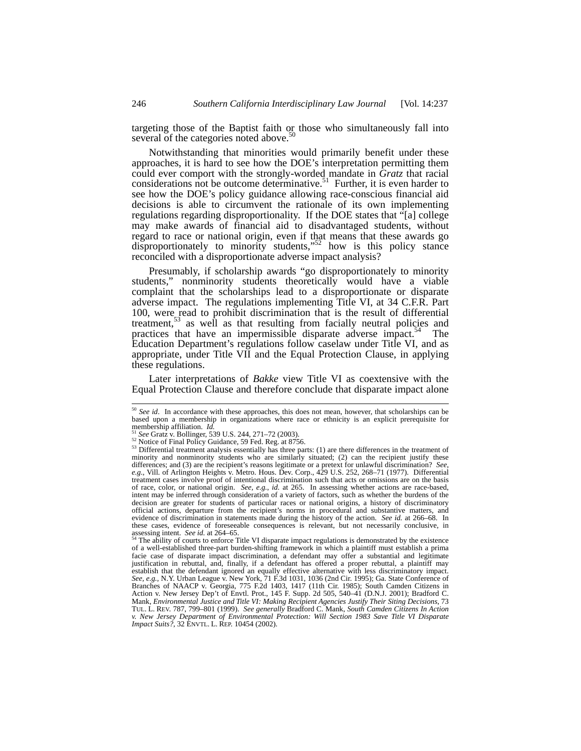targeting those of the Baptist faith or those who simultaneously fall into several of the categories noted above.<sup>5</sup>

Notwithstanding that minorities would primarily benefit under these approaches, it is hard to see how the DOE's interpretation permitting them could ever comport with the strongly-worded mandate in *Gratz* that racial considerations not be outcome determinative.<sup>51</sup> Further, it is even harder to see how the DOE's policy guidance allowing race-conscious financial aid decisions is able to circumvent the rationale of its own implementing regulations regarding disproportionality. If the DOE states that "[a] college may make awards of financial aid to disadvantaged students, without regard to race or national origin, even if that means that these awards go disproportionately to minority students,"<sup>52</sup> how is this policy stance reconciled with a disproportionate adverse impact analysis?

Presumably, if scholarship awards "go disproportionately to minority students," nonminority students theoretically would have a viable complaint that the scholarships lead to a disproportionate or disparate adverse impact. The regulations implementing Title VI, at 34 C.F.R. Part 100, were read to prohibit discrimination that is the result of differential treatment, $5<sup>3</sup>$  as well as that resulting from facially neutral policies and practices that have an impermissible disparate adverse impact.<sup>54</sup> The Education Department's regulations follow caselaw under Title VI, and as appropriate, under Title VII and the Equal Protection Clause, in applying these regulations.

Later interpretations of *Bakke* view Title VI as coextensive with the Equal Protection Clause and therefore conclude that disparate impact alone

<sup>&</sup>lt;sup>50</sup> See id. In accordance with these approaches, this does not mean, however, that scholarships can be based upon a membership in organizations where race or ethnicity is an explicit prerequisite for summership affiliation.  $Id$ 

<sup>&</sup>lt;sup>51</sup> See Gratz v. Bollinger, 539 U.S. 244, 271–72 (2003).<br><sup>52</sup> Notice of Final Policy Guidance, 59 Fed. Reg. at 8756.<br><sup>53</sup> Differential treatment analysis essentially has three parts: (1) are there differences in the trea minority and nonminority students who are similarly situated; (2) can the recipient justify these differences; and (3) are the recipient's reasons legitimate or a pretext for unlawful discrimination? *See, e.g.*, Vill. of Arlington Heights v. Metro. Hous. Dev. Corp., 429 U.S. 252, 268–71 (1977). Differential treatment cases involve proof of intentional discrimination such that acts or omissions are on the basis of race, color, or national origin. *See, e.g.*, *id.* at 265. In assessing whether actions are race-based, intent may be inferred through consideration of a variety of factors, such as whether the burdens of the decision are greater for students of particular races or national origins, a history of discriminatory official actions, departure from the recipient's norms in procedural and substantive matters, and evidence of discrimination in statements made during the history of the action. *See id.* at 266–68. In these cases, evidence of foreseeable consequences is relevant, but not necessarily conclusive, in assessing intent. See id. at  $264-65$ .

The ability of courts to enforce Title VI disparate impact regulations is demonstrated by the existence of a well-established three-part burden-shifting framework in which a plaintiff must establish a prima facie case of disparate impact discrimination, a defendant may offer a substantial and legitimate justification in rebuttal, and, finally, if a defendant has offered a proper rebuttal, a plaintiff may establish that the defendant ignored an equally effective alternative with less discriminatory impact. *See, e.g.,* N.Y. Urban League v. New York*,* 71 F.3d 1031, 1036 (2nd Cir. 1995); Ga. State Conference of Branches of NAACP v. Georgia, 775 F.2d 1403, 1417 (11th Cir. 1985); South Camden Citizens in Action v. New Jersey Dep't of Envtl. Prot., 145 F. Supp. 2d 505, 540–41 (D.N.J. 2001); Bradford C. Mank, *Environmental Justice and Title VI: Making Recipient Agencies Justify Their Siting Decisions*, 73 TUL. L. REV. 787, 799–801 (1999). *See generally* Bradford C. Mank, *South Camden Citizens In Action v. New Jersey Department of Environmental Protection: Will Section 1983 Save Title VI Disparate Impact Suits?*, 32 ENVTL. L. REP. 10454 (2002).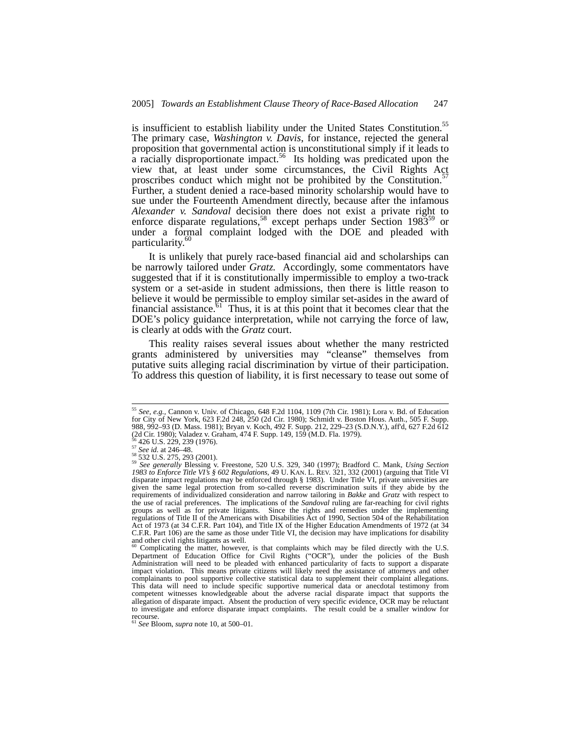is insufficient to establish liability under the United States Constitution.55 The primary case, *Washington v. Davis*, for instance, rejected the general proposition that governmental action is unconstitutional simply if it leads to a racially disproportionate impact.<sup>56</sup> Its holding was predicated upon the view that, at least under some circumstances, the Civil Rights Act proscribes conduct which might not be prohibited by the Constitution.<sup>57</sup> Further, a student denied a race-based minority scholarship would have to sue under the Fourteenth Amendment directly, because after the infamous *Alexander v. Sandoval* decision there does not exist a private right to enforce disparate regulations,<sup>58</sup> except perhaps under Section 1983<sup>59</sup> or under a formal complaint lodged with the DOE and pleaded with particularity.<sup>60</sup>

It is unlikely that purely race-based financial aid and scholarships can be narrowly tailored under *Gratz.* Accordingly, some commentators have suggested that if it is constitutionally impermissible to employ a two-track system or a set-aside in student admissions, then there is little reason to believe it would be permissible to employ similar set-asides in the award of financial assistance.<sup> $61$ </sup> Thus, it is at this point that it becomes clear that the DOE's policy guidance interpretation, while not carrying the force of law, is clearly at odds with the *Gratz* court.

This reality raises several issues about whether the many restricted grants administered by universities may "cleanse" themselves from putative suits alleging racial discrimination by virtue of their participation. To address this question of liability, it is first necessary to tease out some of

 <sup>55</sup> *See, e.g.,* Cannon v. Univ. of Chicago, 648 F.2d 1104, 1109 (7th Cir. 1981); Lora v. Bd. of Education for City of New York, 623 F.2d 248, 250 (2d Cir. 1980); Schmidt v. Boston Hous. Auth., 505 F. Supp. 988, 992–93 (D. Mass. 1981); Bryan v. Koch, 492 F. Supp. 212, 229–23 (S.D.N.Y.), aff'd, 627 F.2d 612 (2d Cir. 1980); Valadez v. Graham, 474 F. Supp. 149, 159 (M.D. Fla. 1979).

<sup>56 426</sup> U.S. 229, 239 (1976). 57 *See id.* at 246–48. 58 532 U.S. 275, 293 (2001). 59 *See generally* Blessing v. Freestone*,* 520 U.S. 329, 340 (1997); Bradford C. Mank, *Using Section 1983 to Enforce Title VI's § 602 Regulations*, 49 U. KAN. L. REV. 321, 332 (2001) (arguing that Title VI disparate impact regulations may be enforced through § 1983). Under Title VI, private universities are given the same legal protection from so-called reverse discrimination suits if they abide by the requirements of individualized consideration and narrow tailoring in *Bakke* and *Gratz* with respect to the use of racial preferences. The implications of the *Sandoval* ruling are far-reaching for civil rights groups as well as for private litigants. Since the rights and remedies under the implementing regulations of Title II of the Americans with Disabilities Act of 1990, Section 504 of the Rehabilitation Act of 1973 (at 34 C.F.R. Part 104), and Title IX of the Higher Education Amendments of 1972 (at 34 C.F.R. Part 106) are the same as those under Title VI, the decision may have implications for disability and other civil rights litigants as well.

<sup>60</sup> Complicating the matter, however, is that complaints which may be filed directly with the U.S. Department of Education Office for Civil Rights ("OCR"), under the policies of the Bush Administration will need to be pleaded with enhanced particularity of facts to support a disparate impact violation. This means private citizens will likely need the assistance of attorneys and other complainants to pool supportive collective statistical data to supplement their complaint allegations. This data will need to include specific supportive numerical data or anecdotal testimony from competent witnesses knowledgeable about the adverse racial disparate impact that supports the allegation of disparate impact. Absent the production of very specific evidence, OCR may be reluctant to investigate and enforce disparate impact complaints. The result could be a smaller window for <sup>61</sup> *See* Bloom, *supra* note 10, at 500–01.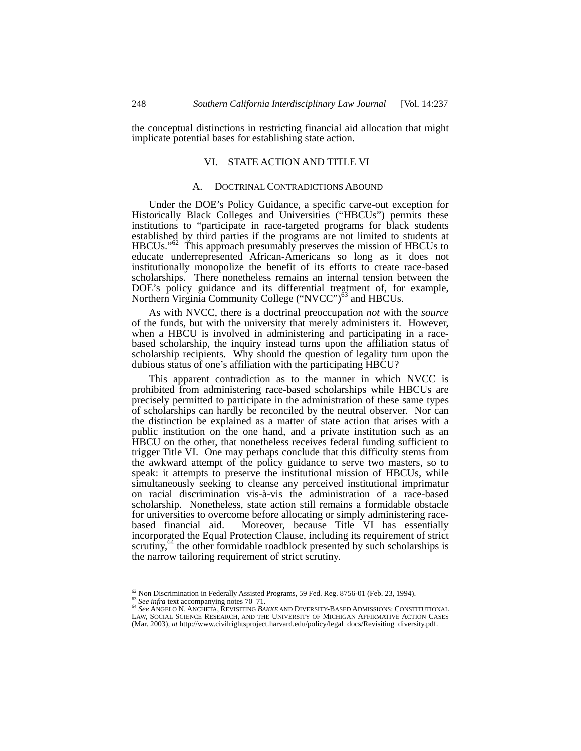the conceptual distinctions in restricting financial aid allocation that might implicate potential bases for establishing state action.

## VI. STATE ACTION AND TITLE VI

## A. DOCTRINAL CONTRADICTIONS ABOUND

Under the DOE's Policy Guidance, a specific carve-out exception for Historically Black Colleges and Universities ("HBCUs") permits these institutions to "participate in race-targeted programs for black students established by third parties if the programs are not limited to students at HBCUs."<sup>62</sup> This approach presumably preserves the mission of HBCUs to educate underrepresented African-Americans so long as it does not institutionally monopolize the benefit of its efforts to create race-based scholarships. There nonetheless remains an internal tension between the DOE's policy guidance and its differential treatment of, for example, Northern Virginia Community College ("NVCC")<sup>63</sup> and HBCUs.

As with NVCC, there is a doctrinal preoccupation *not* with the *source* of the funds, but with the university that merely administers it. However, when a HBCU is involved in administering and participating in a racebased scholarship, the inquiry instead turns upon the affiliation status of scholarship recipients. Why should the question of legality turn upon the dubious status of one's affiliation with the participating HBCU?

This apparent contradiction as to the manner in which NVCC is prohibited from administering race-based scholarships while HBCUs are precisely permitted to participate in the administration of these same types of scholarships can hardly be reconciled by the neutral observer. Nor can the distinction be explained as a matter of state action that arises with a public institution on the one hand, and a private institution such as an HBCU on the other, that nonetheless receives federal funding sufficient to trigger Title VI. One may perhaps conclude that this difficulty stems from the awkward attempt of the policy guidance to serve two masters, so to speak: it attempts to preserve the institutional mission of HBCUs, while simultaneously seeking to cleanse any perceived institutional imprimatur on racial discrimination vis-à-vis the administration of a race-based scholarship. Nonetheless, state action still remains a formidable obstacle for universities to overcome before allocating or simply administering racebased financial aid. Moreover, because Title VI has essentially incorporated the Equal Protection Clause, including its requirement of strict scrutiny, $64$  the other formidable roadblock presented by such scholarships is the narrow tailoring requirement of strict scrutiny.

<sup>&</sup>lt;sup>62</sup> Non Discrimination in Federally Assisted Programs, 59 Fed. Reg. 8756-01 (Feb. 23, 1994).<br><sup>63</sup> See infra text accompanying notes 70–71.<br><sup>64</sup> See ANGELO N. ANCHETA, REVISITING *BAKKE* AND DIVERSITY-BASED ADMISSIONS: CO LAW, SOCIAL SCIENCE RESEARCH, AND THE UNIVERSITY OF MICHIGAN AFFIRMATIVE ACTION CASES (Mar. 2003), *at* http://www.civilrightsproject.harvard.edu/policy/legal\_docs/Revisiting\_diversity.pdf.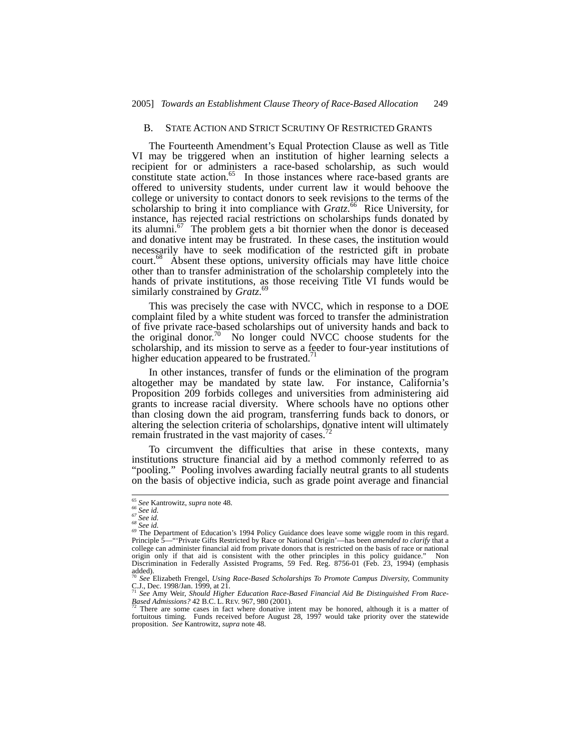#### B. STATE ACTION AND STRICT SCRUTINY OF RESTRICTED GRANTS

The Fourteenth Amendment's Equal Protection Clause as well as Title VI may be triggered when an institution of higher learning selects a recipient for or administers a race-based scholarship, as such would constitute state action.<sup>65</sup> In those instances where race-based grants are offered to university students, under current law it would behoove the college or university to contact donors to seek revisions to the terms of the scholarship to bring it into compliance with *Gratz*.<sup>66</sup> Rice University, for instance, has rejected racial restrictions on scholarships funds donated by its alumni.<sup>67</sup> The problem gets a bit thornier when the donor is deceased and donative intent may be frustrated. In these cases, the institution would necessarily have to seek modification of the restricted gift in probate court.<sup>68</sup> Absent these options, university officials may have little choice other than to transfer administration of the scholarship completely into the hands of private institutions, as those receiving Title VI funds would be similarly constrained by *Gratz*. 69

This was precisely the case with NVCC, which in response to a DOE complaint filed by a white student was forced to transfer the administration of five private race-based scholarships out of university hands and back to the original donor.70 No longer could NVCC choose students for the scholarship, and its mission to serve as a feeder to four-year institutions of higher education appeared to be frustrated. $\frac{7}{1}$ 

In other instances, transfer of funds or the elimination of the program altogether may be mandated by state law. For instance, California's Proposition 209 forbids colleges and universities from administering aid grants to increase racial diversity. Where schools have no options other than closing down the aid program, transferring funds back to donors, or altering the selection criteria of scholarships, donative intent will ultimately remain frustrated in the vast majority of cases.

To circumvent the difficulties that arise in these contexts, many institutions structure financial aid by a method commonly referred to as "pooling." Pooling involves awarding facially neutral grants to all students on the basis of objective indicia, such as grade point average and financial

<sup>&</sup>lt;sup>65</sup> See Kantrowitz, supra note 48.<br><sup>66</sup> See id.<br><sup>67</sup> See id.<br><sup>68</sup> See id.<br><sup>68</sup> The Department of Education's 1994 Policy Guidance does leave some wiggle room in this regard. Principle 5—"'Private Gifts Restricted by Race or National Origin'—has been *amended to clarify* that a college can administer financial aid from private donors that is restricted on the basis of race or national college origin only if that aid is consistent with the other principles in this policy guidance." Non Discrimination in Federally Assisted Programs, 59 Fed. Reg. 8756-01 (Feb. 23, 1994) (emphasis added).

<sup>70</sup> *See* Elizabeth Frengel, *Using Race-Based Scholarships To Promote Campus Diversity,* Community C.J., Dec. 1998/Jan. 1999, at 21. <sup>71</sup> *See* Amy Weir, *Should Higher Education Race-Based Financial Aid Be Distinguished From Race-*

*Based Admissions?* 42 B.C. L. REV. 967, 980 (2001).<br><sup>72</sup> There are some cases in fact where donative intent may be honored, although it is a matter of fortuitous timing. Funds received before August 28, 1997 would take pr proposition. *See* Kantrowitz, *supra* note 48.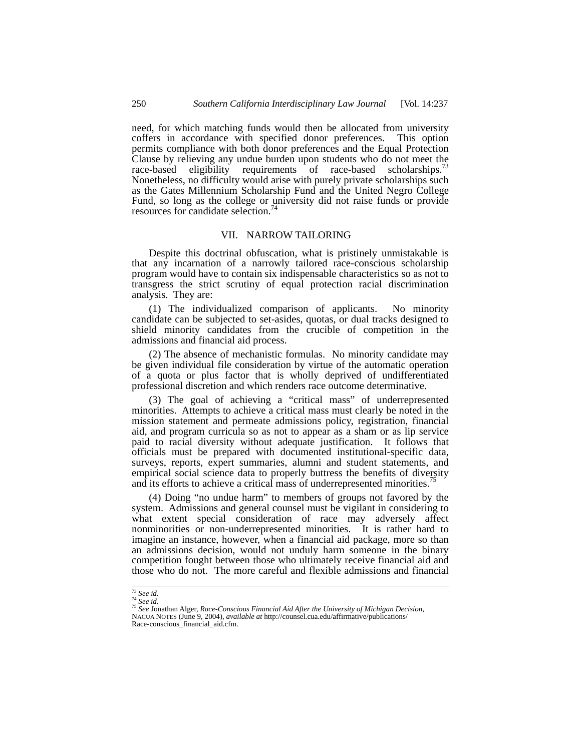need, for which matching funds would then be allocated from university coffers in accordance with specified donor preferences. This option permits compliance with both donor preferences and the Equal Protection Clause by relieving any undue burden upon students who do not meet the race-based eligibility requirements of race-based scholarships.<sup>7</sup> Nonetheless, no difficulty would arise with purely private scholarships such as the Gates Millennium Scholarship Fund and the United Negro College Fund, so long as the college or university did not raise funds or provide resources for candidate selection.<sup>7</sup>

# VII. NARROW TAILORING

Despite this doctrinal obfuscation, what is pristinely unmistakable is that any incarnation of a narrowly tailored race-conscious scholarship program would have to contain six indispensable characteristics so as not to transgress the strict scrutiny of equal protection racial discrimination analysis. They are:

(1) The individualized comparison of applicants. No minority candidate can be subjected to set-asides, quotas, or dual tracks designed to shield minority candidates from the crucible of competition in the admissions and financial aid process.

(2) The absence of mechanistic formulas. No minority candidate may be given individual file consideration by virtue of the automatic operation of a quota or plus factor that is wholly deprived of undifferentiated professional discretion and which renders race outcome determinative.

(3) The goal of achieving a "critical mass" of underrepresented minorities. Attempts to achieve a critical mass must clearly be noted in the mission statement and permeate admissions policy, registration, financial aid, and program curricula so as not to appear as a sham or as lip service paid to racial diversity without adequate justification. It follows that officials must be prepared with documented institutional-specific data, surveys, reports, expert summaries, alumni and student statements, and empirical social science data to properly buttress the benefits of diversity and its efforts to achieve a critical mass of underrepresented minorities.<sup>7</sup>

(4) Doing "no undue harm" to members of groups not favored by the system. Admissions and general counsel must be vigilant in considering to what extent special consideration of race may adversely affect nonminorities or non-underrepresented minorities. It is rather hard to imagine an instance, however, when a financial aid package, more so than an admissions decision, would not unduly harm someone in the binary competition fought between those who ultimately receive financial aid and those who do not. The more careful and flexible admissions and financial

<sup>&</sup>lt;sup>73</sup> See id.<br><sup>74</sup> See id.<br><sup>75</sup> See Jonathan Alger, *Race-Conscious Financial Aid After the University of Michigan Decision,*<br>NACUA NOTES (June 9, 2004), *available at* http://counsel.cua.edu/affirmative/publications/

Race-conscious\_financial\_aid.cfm.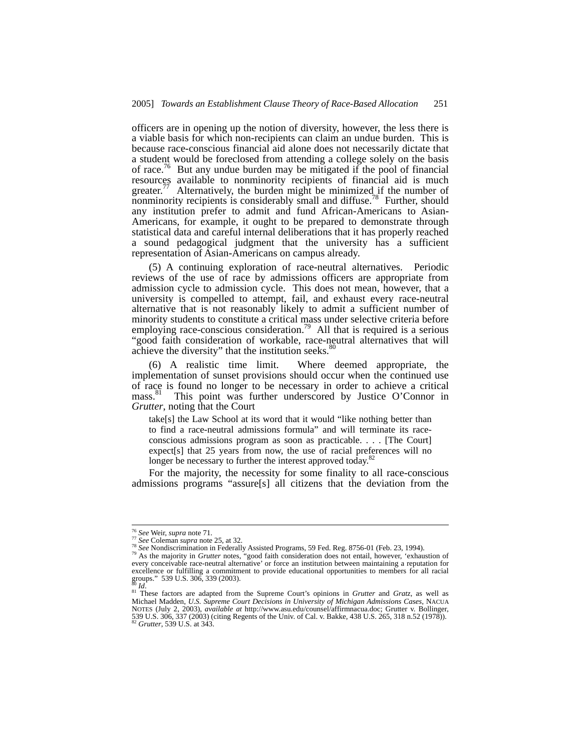officers are in opening up the notion of diversity, however, the less there is a viable basis for which non-recipients can claim an undue burden. This is because race-conscious financial aid alone does not necessarily dictate that a student would be foreclosed from attending a college solely on the basis of race.<sup>76</sup> But any undue burden may be mitigated if the pool of financial resources available to nonminority recipients of financial aid is much  $greatest."$  Alternatively, the burden might be minimized if the number of nonminority recipients is considerably small and diffuse.<sup>78</sup> Further, should any institution prefer to admit and fund African-Americans to Asian-Americans, for example, it ought to be prepared to demonstrate through statistical data and careful internal deliberations that it has properly reached a sound pedagogical judgment that the university has a sufficient representation of Asian-Americans on campus already.

(5) A continuing exploration of race-neutral alternatives. Periodic reviews of the use of race by admissions officers are appropriate from admission cycle to admission cycle. This does not mean, however, that a university is compelled to attempt, fail, and exhaust every race-neutral alternative that is not reasonably likely to admit a sufficient number of minority students to constitute a critical mass under selective criteria before employing race-conscious consideration.<sup>79</sup> All that is required is a serious "good faith consideration of workable, race-neutral alternatives that will achieve the diversity" that the institution seeks.<sup>80</sup>

(6) A realistic time limit. Where deemed appropriate, the implementation of sunset provisions should occur when the continued use of race is found no longer to be necessary in order to achieve a critical mass.<sup>81</sup> This point was further underscored by Justice O'Connor in This point was further underscored by Justice O'Connor in *Grutter*, noting that the Court

take[s] the Law School at its word that it would "like nothing better than to find a race-neutral admissions formula" and will terminate its raceconscious admissions program as soon as practicable. . . . [The Court] expect[s] that 25 years from now, the use of racial preferences will no longer be necessary to further the interest approved today.<sup>82</sup>

For the majority, the necessity for some finality to all race-conscious admissions programs "assure[s] all citizens that the deviation from the

<sup>&</sup>lt;sup>76</sup> See Weir, supra note 71.<br><sup>77</sup> See Coleman supra note 25, at 32.<br><sup>78</sup> See Nondiscrimination in Federally Assisted Programs, 59 Fed. Reg. 8756-01 (Feb. 23, 1994).<br><sup>79</sup> As the majority in *Grutter* notes, "good faith co every conceivable race-neutral alternative' or force an institution between maintaining a reputation for excellence or fulfilling a commitment to provide educational opportunities to members for all racial groups." 539 U.S. 306, 339 (2003).

<sup>80</sup> *Id.* 81 *Id.* 81 *Id.* 81 These factors are adapted from the Supreme Court's opinions in *Grutter* and *Gratz*, as well as 81 These factors are adapted from the Supreme Court's opinions in *Grutter* and *Gratz*, as wel Michael Madden, *U.S. Supreme Court Decisions in University of Michigan Admissions Cases*, NACUA NOTES (July 2, 2003), *available at http://www.asu.edu/counsel/affirmnacua.doc; Grutter v. Bollinger,* 539 U.S. 306, 337 (2003) (citing Regents of the Univ. of Cal. v. Bakke, 438 U.S. 265, 318 n.52 (1978)). <sup>82</sup> *Grutter*,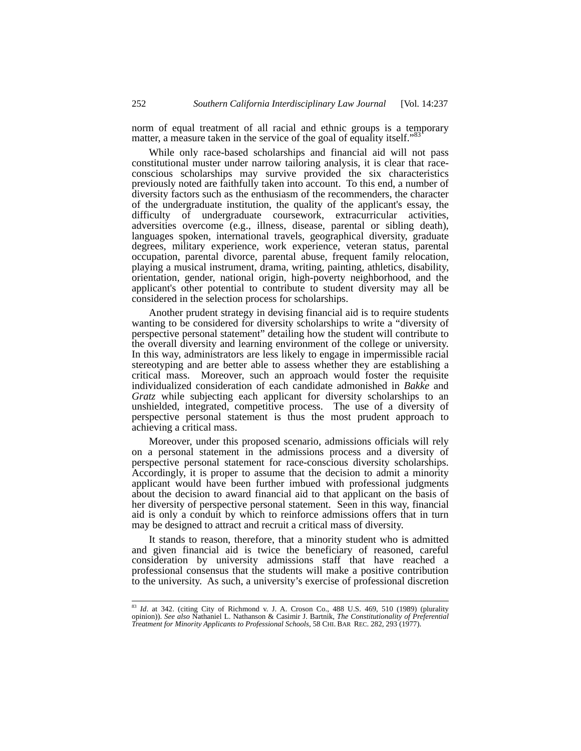norm of equal treatment of all racial and ethnic groups is a temporary matter, a measure taken in the service of the goal of equality itself."<sup>8</sup>

While only race-based scholarships and financial aid will not pass constitutional muster under narrow tailoring analysis, it is clear that raceconscious scholarships may survive provided the six characteristics previously noted are faithfully taken into account. To this end, a number of diversity factors such as the enthusiasm of the recommenders, the character of the undergraduate institution, the quality of the applicant's essay, the difficulty of undergraduate coursework, extracurricular activities, adversities overcome (e.g., illness, disease, parental or sibling death), languages spoken, international travels, geographical diversity, graduate degrees, military experience, work experience, veteran status, parental occupation, parental divorce, parental abuse, frequent family relocation, playing a musical instrument, drama, writing, painting, athletics, disability, orientation, gender, national origin, high-poverty neighborhood, and the applicant's other potential to contribute to student diversity may all be considered in the selection process for scholarships.

Another prudent strategy in devising financial aid is to require students wanting to be considered for diversity scholarships to write a "diversity of perspective personal statement" detailing how the student will contribute to the overall diversity and learning environment of the college or university. In this way, administrators are less likely to engage in impermissible racial stereotyping and are better able to assess whether they are establishing a critical mass. Moreover, such an approach would foster the requisite individualized consideration of each candidate admonished in *Bakke* and *Gratz* while subjecting each applicant for diversity scholarships to an unshielded, integrated, competitive process. The use of a diversity of perspective personal statement is thus the most prudent approach to achieving a critical mass.

Moreover, under this proposed scenario, admissions officials will rely on a personal statement in the admissions process and a diversity of perspective personal statement for race-conscious diversity scholarships. Accordingly, it is proper to assume that the decision to admit a minority applicant would have been further imbued with professional judgments about the decision to award financial aid to that applicant on the basis of her diversity of perspective personal statement. Seen in this way, financial aid is only a conduit by which to reinforce admissions offers that in turn may be designed to attract and recruit a critical mass of diversity.

It stands to reason, therefore, that a minority student who is admitted and given financial aid is twice the beneficiary of reasoned, careful consideration by university admissions staff that have reached a professional consensus that the students will make a positive contribution to the university. As such, a university's exercise of professional discretion

 <sup>83</sup> *Id*. at 342. (citing City of Richmond v. J. A. Croson Co., 488 U.S. 469, 510 (1989) (plurality opinion)). *See also* Nathaniel L. Nathanson & Casimir J. Bartnik, *The Constitutionality of Preferential Treatment for Minority Applicants to Professional Schools*, 58 CHI. BAR REC. 282, 293 (1977).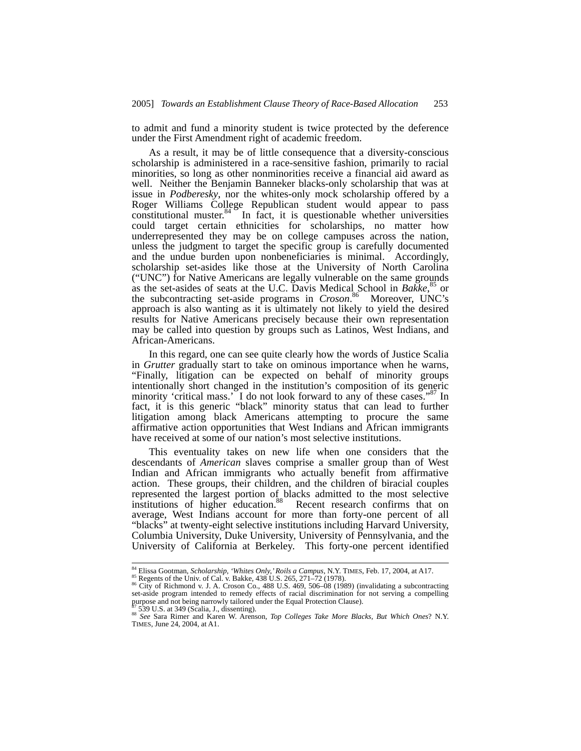to admit and fund a minority student is twice protected by the deference under the First Amendment right of academic freedom.

As a result, it may be of little consequence that a diversity-conscious scholarship is administered in a race-sensitive fashion, primarily to racial minorities, so long as other nonminorities receive a financial aid award as well. Neither the Benjamin Banneker blacks-only scholarship that was at issue in *Podberesky*, nor the whites-only mock scholarship offered by a Roger Williams College Republican student would appear to pass constitutional muster.<sup>84</sup> In fact, it is questionable whether universities could target certain ethnicities for scholarships, no matter how underrepresented they may be on college campuses across the nation, unless the judgment to target the specific group is carefully documented and the undue burden upon nonbeneficiaries is minimal. Accordingly, scholarship set-asides like those at the University of North Carolina ("UNC") for Native Americans are legally vulnerable on the same grounds as the set-asides of seats at the U.C. Davis Medical School in *Bakke*, <sup>85</sup> or the subcontracting set-aside programs in *Croson*. 86 Moreover, UNC's approach is also wanting as it is ultimately not likely to yield the desired results for Native Americans precisely because their own representation may be called into question by groups such as Latinos, West Indians, and African-Americans.

In this regard, one can see quite clearly how the words of Justice Scalia in *Grutter* gradually start to take on ominous importance when he warns, "Finally, litigation can be expected on behalf of minority groups intentionally short changed in the institution's composition of its generic minority 'critical mass.' I do not look forward to any of these cases."<sup>87</sup> In fact, it is this generic "black" minority status that can lead to further litigation among black Americans attempting to procure the same affirmative action opportunities that West Indians and African immigrants have received at some of our nation's most selective institutions.

This eventuality takes on new life when one considers that the descendants of *American* slaves comprise a smaller group than of West Indian and African immigrants who actually benefit from affirmative action. These groups, their children, and the children of biracial couples represented the largest portion of blacks admitted to the most selective institutions of higher education.<sup>88</sup> Recent research confirms that on average, West Indians account for more than forty-one percent of all "blacks" at twenty-eight selective institutions including Harvard University, Columbia University, Duke University, University of Pennsylvania, and the University of California at Berkeley. This forty-one percent identified

<sup>&</sup>lt;sup>84</sup> Elissa Gootman, *Scholarship, 'Whites Only,' Roils a Campus*, N.Y. TIMES, Feb. 17, 2004, at A17.<br><sup>85</sup> Regents of the Univ. of Cal. v. Bakke, 438 U.S. 265, 271–72 (1978).<br><sup>86</sup> City of Richmond v. J. A. Croson Co., 488 purpose and not being narrowly tailored under the Equal Protection Clause).<br><sup>87</sup> 539 U.S. at 349 (Scalia, J., dissenting).<br><sup>88</sup> See Sara Rimer and Karen W. Arenson, *Top Colleges Take More Blacks, But Which Ones*? N.Y.

TIMES, June 24, 2004, at A1.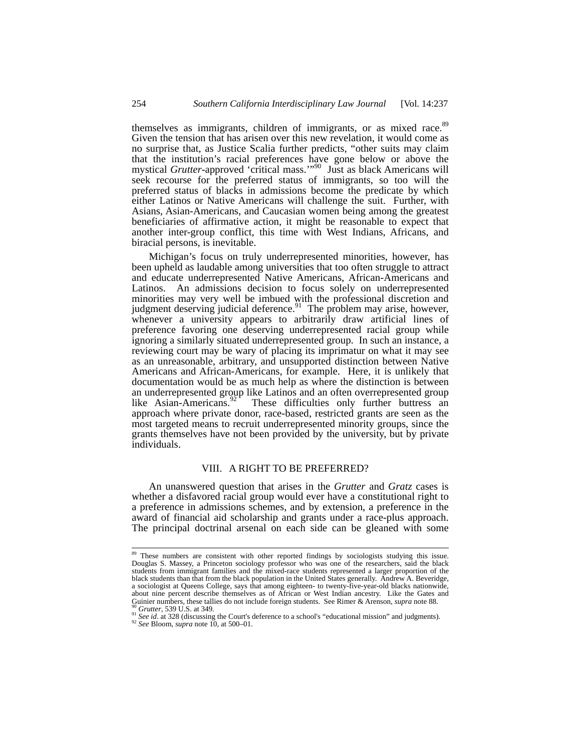themselves as immigrants, children of immigrants, or as mixed race.<sup>89</sup> Given the tension that has arisen over this new revelation, it would come as no surprise that, as Justice Scalia further predicts, "other suits may claim that the institution's racial preferences have gone below or above the mystical *Grutter*-approved 'critical mass.'"90 Just as black Americans will seek recourse for the preferred status of immigrants, so too will the preferred status of blacks in admissions become the predicate by which either Latinos or Native Americans will challenge the suit. Further, with Asians, Asian-Americans, and Caucasian women being among the greatest beneficiaries of affirmative action, it might be reasonable to expect that another inter-group conflict, this time with West Indians, Africans, and biracial persons, is inevitable.

Michigan's focus on truly underrepresented minorities, however, has been upheld as laudable among universities that too often struggle to attract and educate underrepresented Native Americans, African-Americans and Latinos. An admissions decision to focus solely on underrepresented minorities may very well be imbued with the professional discretion and judgment deserving judicial deference. $91$  The problem may arise, however, whenever a university appears to arbitrarily draw artificial lines of preference favoring one deserving underrepresented racial group while ignoring a similarly situated underrepresented group. In such an instance, a reviewing court may be wary of placing its imprimatur on what it may see as an unreasonable, arbitrary, and unsupported distinction between Native Americans and African-Americans, for example. Here, it is unlikely that documentation would be as much help as where the distinction is between an underrepresented group like Latinos and an often overrepresented group like Asian-Americans.<sup>92</sup> These difficulties only further buttress an approach where private donor, race-based, restricted grants are seen as the most targeted means to recruit underrepresented minority groups, since the grants themselves have not been provided by the university, but by private individuals.

## VIII. A RIGHT TO BE PREFERRED?

An unanswered question that arises in the *Grutter* and *Gratz* cases is whether a disfavored racial group would ever have a constitutional right to a preference in admissions schemes, and by extension, a preference in the award of financial aid scholarship and grants under a race-plus approach. The principal doctrinal arsenal on each side can be gleaned with some

<sup>&</sup>lt;sup>89</sup> These numbers are consistent with other reported findings by sociologists studying this issue. Douglas S. Massey, a Princeton sociology professor who was one of the researchers, said the black students from immigrant families and the mixed-race students represented a larger proportion of the black students than that from the black population in the United States generally. Andrew A. Beveridge, a sociologist at Queens College, says that among eighteen- to twenty-five-year-old blacks nationwide, about nine percent describe themselves as of African or West Indian ancestry. Like the Gates and Guinier numbers, these tallies do not include foreign students. See Rimer & Arenson, *supra* note 88.<br><sup>90</sup> Grutter, 539 U.S. at 349.<br><sup>91</sup> See id. at 328 (discussing the Court's deference to a school's "educational mission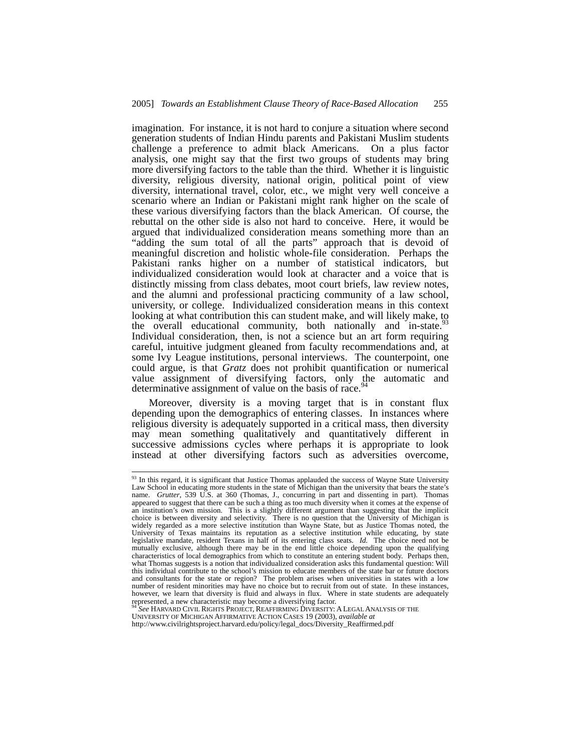imagination. For instance, it is not hard to conjure a situation where second generation students of Indian Hindu parents and Pakistani Muslim students challenge a preference to admit black Americans. On a plus factor analysis, one might say that the first two groups of students may bring more diversifying factors to the table than the third. Whether it is linguistic diversity, religious diversity, national origin, political point of view diversity, international travel, color, etc., we might very well conceive a scenario where an Indian or Pakistani might rank higher on the scale of these various diversifying factors than the black American. Of course, the rebuttal on the other side is also not hard to conceive. Here, it would be argued that individualized consideration means something more than an "adding the sum total of all the parts" approach that is devoid of meaningful discretion and holistic whole-file consideration. Perhaps the Pakistani ranks higher on a number of statistical indicators, but individualized consideration would look at character and a voice that is distinctly missing from class debates, moot court briefs, law review notes, and the alumni and professional practicing community of a law school, university, or college. Individualized consideration means in this context looking at what contribution this can student make, and will likely make, to looking at what contribution this can student make, and will likely make,  $\frac{93}{2}$ the overall educational community, both nationally and in-state.<sup>5</sup> Individual consideration, then, is not a science but an art form requiring careful, intuitive judgment gleaned from faculty recommendations and, at some Ivy League institutions, personal interviews. The counterpoint, one could argue, is that *Gratz* does not prohibit quantification or numerical value assignment of diversifying factors, only the automatic and determinative assignment of value on the basis of race.<sup>94</sup>

Moreover, diversity is a moving target that is in constant flux depending upon the demographics of entering classes. In instances where religious diversity is adequately supported in a critical mass, then diversity may mean something qualitatively and quantitatively different in successive admissions cycles where perhaps it is appropriate to look instead at other diversifying factors such as adversities overcome,

<sup>&</sup>lt;sup>93</sup> In this regard, it is significant that Justice Thomas applauded the success of Wayne State University Law School in educating more students in the state of Michigan than the university that bears the state's name. *Grutter*, 539 U.S. at 360 (Thomas, J., concurring in part and dissenting in part). Thomas appeared to suggest that there can be such a thing as too much diversity when it comes at the expense of an institution's own mission. This is a slightly different argument than suggesting that the implicit choice is between diversity and selectivity. There is no question that the University of Michigan is widely regarded as a more selective institution than Wayne State, but as Justice Thomas noted, the University of Texas maintains its reputation as a selective institution while educating, by state legislative mandate, resident Texans in half of its entering class seats. *Id.* The choice need not be mutually exclusive, although there may be in the end little choice depending upon the qualifying characteristics of local demographics from which to constitute an entering student body. Perhaps then, what Thomas suggests is a notion that individualized consideration asks this fundamental question: Will this individual contribute to the school's mission to educate members of the state bar or future doctors and consultants for the state or region? The problem arises when universities in states with a low number of resident minorities may have no choice but to recruit from out of state. In these instances, however, we learn that diversity is fluid and always in flux. Where in state students are adequately represented, a new characteristic may become a diversifying factor.

<sup>94</sup> *See* HARVARD CIVIL RIGHTS PROJECT, REAFFIRMING DIVERSITY: A LEGAL ANALYSIS OF THE UNIVERSITY OF MICHIGAN AFFIRMATIVE ACTION CASES 19 (2003), *available at*  http://www.civilrightsproject.harvard.edu/policy/legal\_docs/Diversity\_Reaffirmed.pdf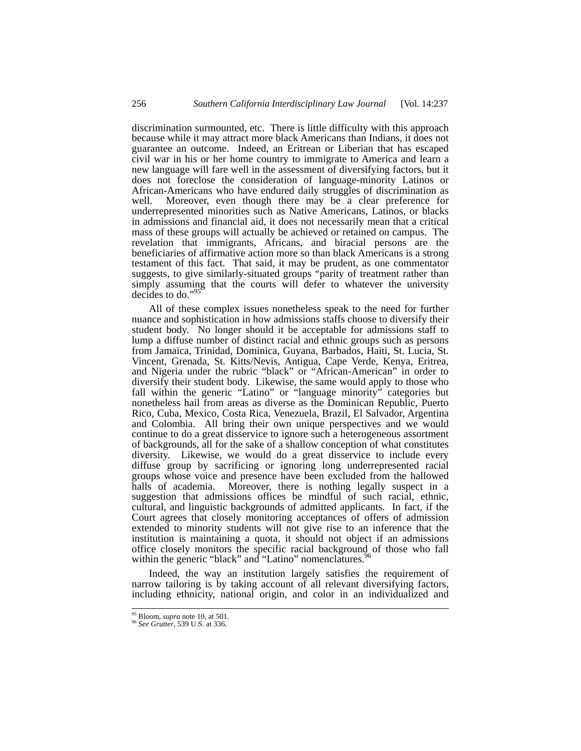discrimination surmounted, etc. There is little difficulty with this approach because while it may attract more black Americans than Indians, it does not guarantee an outcome. Indeed, an Eritrean or Liberian that has escaped civil war in his or her home country to immigrate to America and learn a new language will fare well in the assessment of diversifying factors, but it does not foreclose the consideration of language-minority Latinos or African-Americans who have endured daily struggles of discrimination as well. Moreover, even though there may be a clear preference for underrepresented minorities such as Native Americans, Latinos, or blacks in admissions and financial aid, it does not necessarily mean that a critical mass of these groups will actually be achieved or retained on campus. The revelation that immigrants, Africans, and biracial persons are the beneficiaries of affirmative action more so than black Americans is a strong testament of this fact. That said, it may be prudent, as one commentator suggests, to give similarly-situated groups "parity of treatment rather than simply assuming that the courts will defer to whatever the university decides to do."95

All of these complex issues nonetheless speak to the need for further nuance and sophistication in how admissions staffs choose to diversify their student body. No longer should it be acceptable for admissions staff to lump a diffuse number of distinct racial and ethnic groups such as persons from Jamaica, Trinidad, Dominica, Guyana, Barbados, Haiti, St. Lucia, St. Vincent, Grenada, St. Kitts/Nevis, Antigua, Cape Verde, Kenya, Eritrea, and Nigeria under the rubric "black" or "African-American" in order to diversify their student body. Likewise, the same would apply to those who fall within the generic "Latino" or "language minority" categories but nonetheless hail from areas as diverse as the Dominican Republic, Puerto Rico, Cuba, Mexico, Costa Rica, Venezuela, Brazil, El Salvador, Argentina and Colombia. All bring their own unique perspectives and we would continue to do a great disservice to ignore such a heterogeneous assortment of backgrounds, all for the sake of a shallow conception of what constitutes diversity. Likewise, we would do a great disservice to include every diffuse group by sacrificing or ignoring long underrepresented racial groups whose voice and presence have been excluded from the hallowed halls of academia. Moreover, there is nothing legally suspect in a suggestion that admissions offices be mindful of such racial, ethnic, cultural, and linguistic backgrounds of admitted applicants. In fact, if the Court agrees that closely monitoring acceptances of offers of admission extended to minority students will not give rise to an inference that the institution is maintaining a quota, it should not object if an admissions office closely monitors the specific racial background of those who fall within the generic "black" and "Latino" nomenclatures.<sup>96</sup>

Indeed, the way an institution largely satisfies the requirement of narrow tailoring is by taking account of all relevant diversifying factors, including ethnicity, national origin, and color in an individualized and

 <sup>95</sup> Bloom, *supra* note 10, at 501. 96 *See Grutter*, 539 U.S. at 336.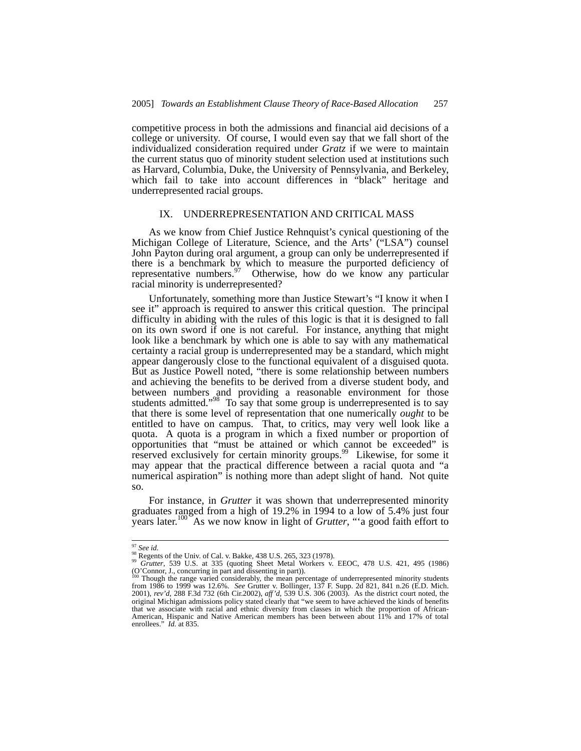competitive process in both the admissions and financial aid decisions of a college or university. Of course, I would even say that we fall short of the individualized consideration required under *Gratz* if we were to maintain the current status quo of minority student selection used at institutions such as Harvard, Columbia, Duke, the University of Pennsylvania, and Berkeley, which fail to take into account differences in "black" heritage and underrepresented racial groups.

## IX. UNDERREPRESENTATION AND CRITICAL MASS

As we know from Chief Justice Rehnquist's cynical questioning of the Michigan College of Literature, Science, and the Arts' ("LSA") counsel John Payton during oral argument, a group can only be underrepresented if there is a benchmark by which to measure the purported deficiency of representative numbers.<sup>97</sup> Otherwise, how do we know any particular racial minority is underrepresented?

Unfortunately, something more than Justice Stewart's "I know it when I see it" approach is required to answer this critical question. The principal difficulty in abiding with the rules of this logic is that it is designed to fall on its own sword if one is not careful. For instance, anything that might look like a benchmark by which one is able to say with any mathematical certainty a racial group is underrepresented may be a standard, which might appear dangerously close to the functional equivalent of a disguised quota. But as Justice Powell noted, "there is some relationship between numbers and achieving the benefits to be derived from a diverse student body, and between numbers and providing a reasonable environment for those students admitted."<sup>98</sup> To say that some group is underrepresented is to say that there is some level of representation that one numerically *ought* to be entitled to have on campus. That, to critics, may very well look like a quota. A quota is a program in which a fixed number or proportion of opportunities that "must be attained or which cannot be exceeded" is reserved exclusively for certain minority groups.<sup>99</sup> Likewise, for some it may appear that the practical difference between a racial quota and "a numerical aspiration" is nothing more than adept slight of hand. Not quite so.

For instance, in *Grutter* it was shown that underrepresented minority graduates ranged from a high of 19.2% in 1994 to a low of 5.4% just four years later.100 As we now know in light of *Grutter*, "'a good faith effort to

<sup>&</sup>lt;sup>97</sup> *See id.* 98 Regents of the Univ. of Cal. v. Bakke, 438 U.S. 265, 323 (1978). <sup>98</sup> *Grutter*, 539 U.S. at 335 (quoting Sheet Metal Workers v. EEOC, 478 U.S. 421, 495 (1986) (O'Connor, J., concurring in part and dissenting in part)). 100 Though the range varied considerably, the mean percentage of underrepresented minority students

from 1986 to 1999 was 12.6%. *See* Grutter v. Bollinger, 137 F. Supp. 2d 821, 841 n.26 (E.D. Mich. 2001), *rev'd*, 288 F.3d 732 (6th Cir.2002), *aff'd*, 539 U.S. 306 (2003). As the district court noted, the original Michigan admissions policy stated clearly that "we seem to have achieved the kinds of benefits that we associate with racial and ethnic diversity from classes in which the proportion of African-American, Hispanic and Native American members has been between about 11% and 17% of total enrollees." *Id.* at 835.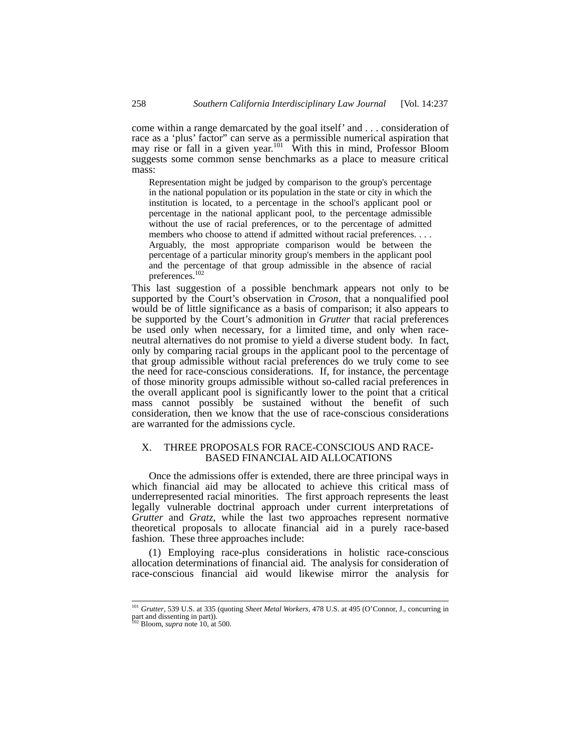come within a range demarcated by the goal itself' and . . . consideration of race as a 'plus' factor" can serve as a permissible numerical aspiration that may rise or fall in a given year.<sup>101</sup> With this in mind, Professor Bloom suggests some common sense benchmarks as a place to measure critical mass:

Representation might be judged by comparison to the group's percentage in the national population or its population in the state or city in which the institution is located, to a percentage in the school's applicant pool or percentage in the national applicant pool, to the percentage admissible without the use of racial preferences, or to the percentage of admitted members who choose to attend if admitted without racial preferences. . . . Arguably, the most appropriate comparison would be between the percentage of a particular minority group's members in the applicant pool and the percentage of that group admissible in the absence of racial preferences.102

This last suggestion of a possible benchmark appears not only to be supported by the Court's observation in *Croson*, that a nonqualified pool would be of little significance as a basis of comparison; it also appears to be supported by the Court's admonition in *Grutter* that racial preferences be used only when necessary, for a limited time, and only when raceneutral alternatives do not promise to yield a diverse student body. In fact, only by comparing racial groups in the applicant pool to the percentage of that group admissible without racial preferences do we truly come to see the need for race-conscious considerations. If, for instance, the percentage of those minority groups admissible without so-called racial preferences in the overall applicant pool is significantly lower to the point that a critical mass cannot possibly be sustained without the benefit of such consideration, then we know that the use of race-conscious considerations are warranted for the admissions cycle.

## X. THREE PROPOSALS FOR RACE-CONSCIOUS AND RACE-BASED FINANCIAL AID ALLOCATIONS

Once the admissions offer is extended, there are three principal ways in which financial aid may be allocated to achieve this critical mass of underrepresented racial minorities. The first approach represents the least legally vulnerable doctrinal approach under current interpretations of *Grutter* and *Gratz*, while the last two approaches represent normative theoretical proposals to allocate financial aid in a purely race-based fashion. These three approaches include:

(1) Employing race-plus considerations in holistic race-conscious allocation determinations of financial aid. The analysis for consideration of race-conscious financial aid would likewise mirror the analysis for

 <sup>101</sup> *Grutter*, 539 U.S. at 335 (quoting *Sheet Metal Workers*, 478 U.S. at 495 (O'Connor, J., concurring in part and dissenting in part)). 102 Bloom, *supra* note 10, at 500.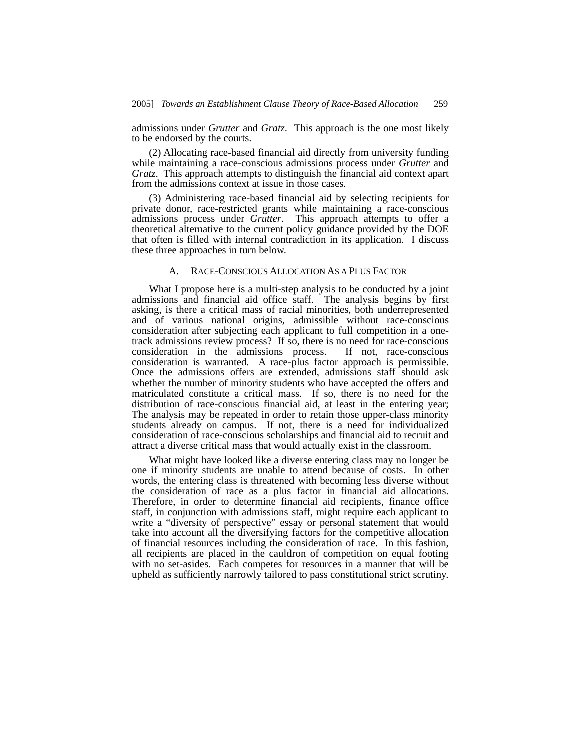admissions under *Grutter* and *Gratz*. This approach is the one most likely to be endorsed by the courts.

(2) Allocating race-based financial aid directly from university funding while maintaining a race-conscious admissions process under *Grutter* and *Gratz*. This approach attempts to distinguish the financial aid context apart from the admissions context at issue in those cases.

(3) Administering race-based financial aid by selecting recipients for private donor, race-restricted grants while maintaining a race-conscious admissions process under *Grutter*. This approach attempts to offer a theoretical alternative to the current policy guidance provided by the DOE that often is filled with internal contradiction in its application. I discuss these three approaches in turn below.

## A. RACE-CONSCIOUS ALLOCATION AS A PLUS FACTOR

What I propose here is a multi-step analysis to be conducted by a joint admissions and financial aid office staff. The analysis begins by first asking, is there a critical mass of racial minorities, both underrepresented and of various national origins, admissible without race-conscious consideration after subjecting each applicant to full competition in a onetrack admissions review process? If so, there is no need for race-conscious consideration in the admissions process. If not, race-conscious consideration is warranted. A race-plus factor approach is permissible. Once the admissions offers are extended, admissions staff should ask whether the number of minority students who have accepted the offers and matriculated constitute a critical mass. If so, there is no need for the distribution of race-conscious financial aid, at least in the entering year; The analysis may be repeated in order to retain those upper-class minority students already on campus. If not, there is a need for individualized consideration of race-conscious scholarships and financial aid to recruit and attract a diverse critical mass that would actually exist in the classroom.

What might have looked like a diverse entering class may no longer be one if minority students are unable to attend because of costs. In other words, the entering class is threatened with becoming less diverse without the consideration of race as a plus factor in financial aid allocations. Therefore, in order to determine financial aid recipients, finance office staff, in conjunction with admissions staff, might require each applicant to write a "diversity of perspective" essay or personal statement that would take into account all the diversifying factors for the competitive allocation of financial resources including the consideration of race. In this fashion, all recipients are placed in the cauldron of competition on equal footing with no set-asides. Each competes for resources in a manner that will be upheld as sufficiently narrowly tailored to pass constitutional strict scrutiny.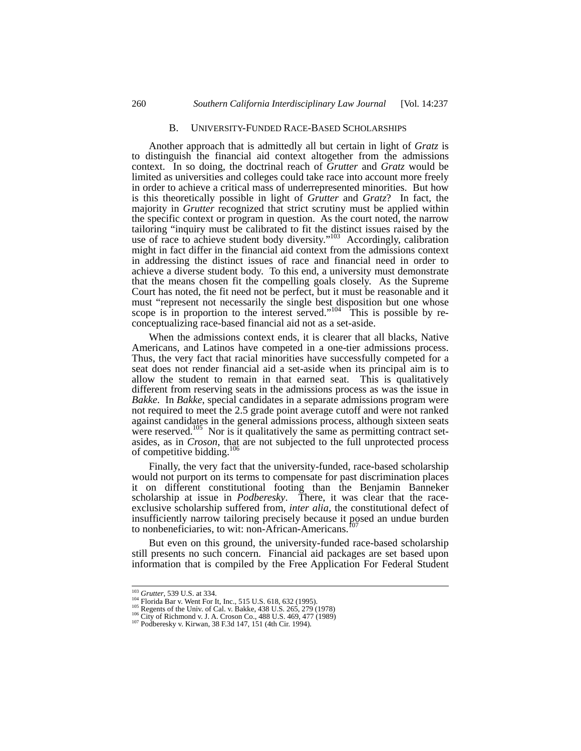#### B. UNIVERSITY-FUNDED RACE-BASED SCHOLARSHIPS

Another approach that is admittedly all but certain in light of *Gratz* is to distinguish the financial aid context altogether from the admissions context. In so doing, the doctrinal reach of *Grutter* and *Gratz* would be limited as universities and colleges could take race into account more freely in order to achieve a critical mass of underrepresented minorities. But how is this theoretically possible in light of *Grutter* and *Gratz*? In fact, the majority in *Grutter* recognized that strict scrutiny must be applied within the specific context or program in question. As the court noted, the narrow tailoring "inquiry must be calibrated to fit the distinct issues raised by the use of race to achieve student body diversity."<sup>103</sup> Accordingly, calibration might in fact differ in the financial aid context from the admissions context in addressing the distinct issues of race and financial need in order to achieve a diverse student body. To this end, a university must demonstrate that the means chosen fit the compelling goals closely. As the Supreme Court has noted, the fit need not be perfect, but it must be reasonable and it must "represent not necessarily the single best disposition but one whose scope is in proportion to the interest served." $104$  This is possible by reconceptualizing race-based financial aid not as a set-aside.

When the admissions context ends, it is clearer that all blacks, Native Americans, and Latinos have competed in a one-tier admissions process. Thus, the very fact that racial minorities have successfully competed for a seat does not render financial aid a set-aside when its principal aim is to allow the student to remain in that earned seat. This is qualitatively different from reserving seats in the admissions process as was the issue in *Bakke*. In *Bakke*, special candidates in a separate admissions program were not required to meet the 2.5 grade point average cutoff and were not ranked against candidates in the general admissions process, although sixteen seats were reserved.<sup>105</sup> Nor is it qualitatively the same as permitting contract setasides, as in *Croson*, that are not subjected to the full unprotected process of competitive bidding.<sup>106</sup>

Finally, the very fact that the university-funded, race-based scholarship would not purport on its terms to compensate for past discrimination places it on different constitutional footing than the Benjamin Banneker scholarship at issue in *Podberesky*. There, it was clear that the raceexclusive scholarship suffered from, *inter alia*, the constitutional defect of insufficiently narrow tailoring precisely because it posed an undue burden to nonbeneficiaries, to wit: non-African-Americans.

But even on this ground, the university-funded race-based scholarship still presents no such concern. Financial aid packages are set based upon information that is compiled by the Free Application For Federal Student

<sup>&</sup>lt;sup>103</sup> Grutter, 539 U.S. at 334.<br><sup>104</sup> Florida Bar v. Went For It, Inc., 515 U.S. 618, 632 (1995).<br><sup>105</sup> Regents of the Univ. of Cal. v. Bakke, 438 U.S. 265, 279 (1978)<br><sup>106</sup> City of Richmond v. J. A. Croson Co., 488 U.S.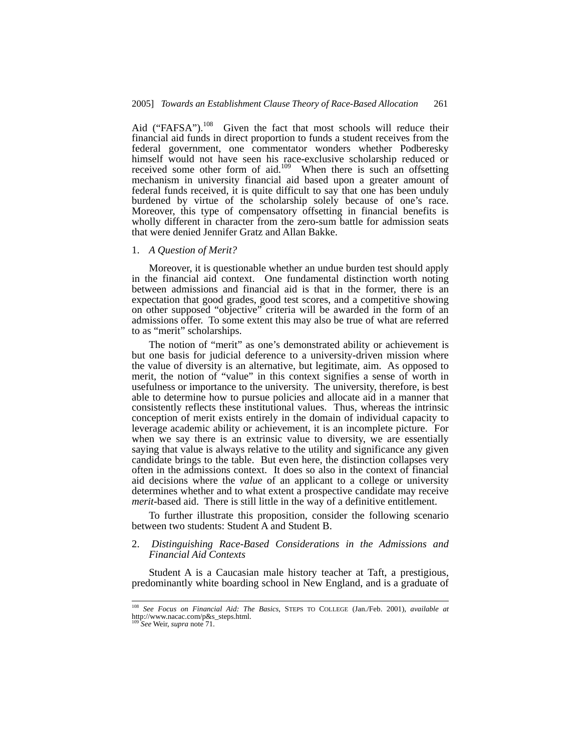Aid ("FAFSA").<sup>108</sup> Given the fact that most schools will reduce their financial aid funds in direct proportion to funds a student receives from the federal government, one commentator wonders whether Podberesky himself would not have seen his race-exclusive scholarship reduced or received some other form of aid.<sup>109</sup> When there is such an offsetting mechanism in university financial aid based upon a greater amount of federal funds received, it is quite difficult to say that one has been unduly burdened by virtue of the scholarship solely because of one's race. Moreover, this type of compensatory offsetting in financial benefits is wholly different in character from the zero-sum battle for admission seats that were denied Jennifer Gratz and Allan Bakke.

#### 1. *A Question of Merit?*

Moreover, it is questionable whether an undue burden test should apply in the financial aid context. One fundamental distinction worth noting between admissions and financial aid is that in the former, there is an expectation that good grades, good test scores, and a competitive showing on other supposed "objective" criteria will be awarded in the form of an admissions offer. To some extent this may also be true of what are referred to as "merit" scholarships.

The notion of "merit" as one's demonstrated ability or achievement is but one basis for judicial deference to a university-driven mission where the value of diversity is an alternative, but legitimate, aim. As opposed to merit, the notion of "value" in this context signifies a sense of worth in usefulness or importance to the university. The university, therefore, is best able to determine how to pursue policies and allocate aid in a manner that consistently reflects these institutional values. Thus, whereas the intrinsic conception of merit exists entirely in the domain of individual capacity to leverage academic ability or achievement, it is an incomplete picture. For when we say there is an extrinsic value to diversity, we are essentially saying that value is always relative to the utility and significance any given candidate brings to the table. But even here, the distinction collapses very often in the admissions context. It does so also in the context of financial aid decisions where the *value* of an applicant to a college or university determines whether and to what extent a prospective candidate may receive *merit*-based aid. There is still little in the way of a definitive entitlement.

To further illustrate this proposition, consider the following scenario between two students: Student A and Student B.

## 2. *Distinguishing Race-Based Considerations in the Admissions and Financial Aid Contexts*

Student A is a Caucasian male history teacher at Taft, a prestigious, predominantly white boarding school in New England, and is a graduate of

 <sup>108</sup> *See Focus on Financial Aid: The Basics*, STEPS TO COLLEGE (Jan./Feb. 2001), *available at* http://www.nacac.com/p&s\_steps.html.

<sup>109</sup> *See* Weir, *supra* note 71.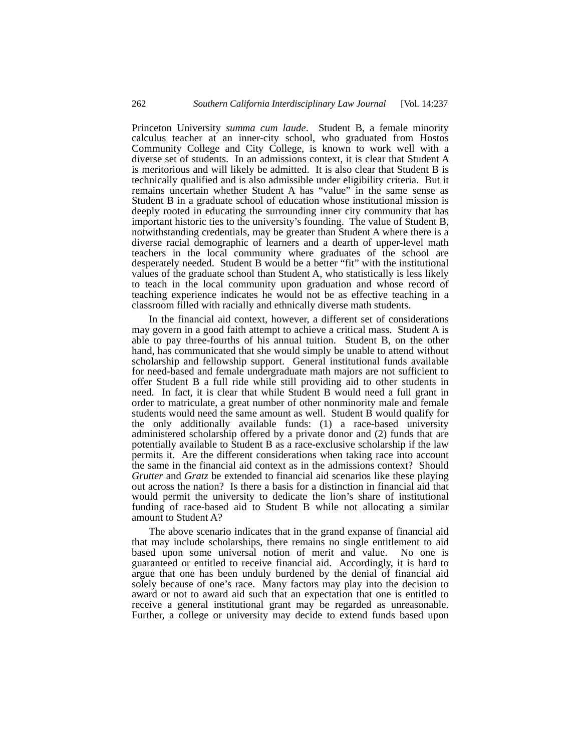Princeton University *summa cum laude*. Student B, a female minority calculus teacher at an inner-city school, who graduated from Hostos Community College and City College, is known to work well with a diverse set of students. In an admissions context, it is clear that Student A is meritorious and will likely be admitted. It is also clear that Student B is technically qualified and is also admissible under eligibility criteria. But it remains uncertain whether Student A has "value" in the same sense as Student B in a graduate school of education whose institutional mission is deeply rooted in educating the surrounding inner city community that has important historic ties to the university's founding. The value of Student B, notwithstanding credentials, may be greater than Student A where there is a diverse racial demographic of learners and a dearth of upper-level math teachers in the local community where graduates of the school are desperately needed. Student B would be a better "fit" with the institutional values of the graduate school than Student A, who statistically is less likely to teach in the local community upon graduation and whose record of teaching experience indicates he would not be as effective teaching in a classroom filled with racially and ethnically diverse math students.

In the financial aid context, however, a different set of considerations may govern in a good faith attempt to achieve a critical mass. Student A is able to pay three-fourths of his annual tuition. Student B, on the other hand, has communicated that she would simply be unable to attend without scholarship and fellowship support. General institutional funds available for need-based and female undergraduate math majors are not sufficient to offer Student B a full ride while still providing aid to other students in need. In fact, it is clear that while Student B would need a full grant in order to matriculate, a great number of other nonminority male and female students would need the same amount as well. Student B would qualify for the only additionally available funds: (1) a race-based university administered scholarship offered by a private donor and (2) funds that are potentially available to Student B as a race-exclusive scholarship if the law permits it. Are the different considerations when taking race into account the same in the financial aid context as in the admissions context? Should *Grutter* and *Gratz* be extended to financial aid scenarios like these playing out across the nation? Is there a basis for a distinction in financial aid that would permit the university to dedicate the lion's share of institutional funding of race-based aid to Student B while not allocating a similar amount to Student A?

The above scenario indicates that in the grand expanse of financial aid that may include scholarships, there remains no single entitlement to aid based upon some universal notion of merit and value. No one is guaranteed or entitled to receive financial aid. Accordingly, it is hard to argue that one has been unduly burdened by the denial of financial aid solely because of one's race. Many factors may play into the decision to award or not to award aid such that an expectation that one is entitled to receive a general institutional grant may be regarded as unreasonable. Further, a college or university may decide to extend funds based upon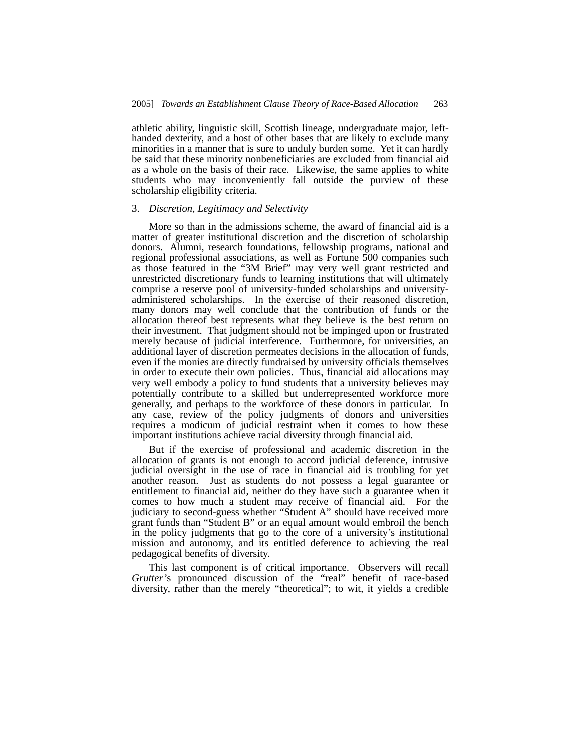athletic ability, linguistic skill, Scottish lineage, undergraduate major, lefthanded dexterity, and a host of other bases that are likely to exclude many minorities in a manner that is sure to unduly burden some. Yet it can hardly be said that these minority nonbeneficiaries are excluded from financial aid as a whole on the basis of their race. Likewise, the same applies to white students who may inconveniently fall outside the purview of these scholarship eligibility criteria.

## 3. *Discretion, Legitimacy and Selectivity*

More so than in the admissions scheme, the award of financial aid is a matter of greater institutional discretion and the discretion of scholarship donors. Alumni, research foundations, fellowship programs, national and regional professional associations, as well as Fortune 500 companies such as those featured in the "3M Brief" may very well grant restricted and unrestricted discretionary funds to learning institutions that will ultimately comprise a reserve pool of university-funded scholarships and universityadministered scholarships. In the exercise of their reasoned discretion, many donors may well conclude that the contribution of funds or the allocation thereof best represents what they believe is the best return on their investment. That judgment should not be impinged upon or frustrated merely because of judicial interference. Furthermore, for universities, an additional layer of discretion permeates decisions in the allocation of funds, even if the monies are directly fundraised by university officials themselves in order to execute their own policies. Thus, financial aid allocations may very well embody a policy to fund students that a university believes may potentially contribute to a skilled but underrepresented workforce more generally, and perhaps to the workforce of these donors in particular. In any case, review of the policy judgments of donors and universities requires a modicum of judicial restraint when it comes to how these important institutions achieve racial diversity through financial aid.

But if the exercise of professional and academic discretion in the allocation of grants is not enough to accord judicial deference, intrusive judicial oversight in the use of race in financial aid is troubling for yet another reason. Just as students do not possess a legal guarantee or entitlement to financial aid, neither do they have such a guarantee when it comes to how much a student may receive of financial aid. For the judiciary to second-guess whether "Student A" should have received more grant funds than "Student B" or an equal amount would embroil the bench in the policy judgments that go to the core of a university's institutional mission and autonomy, and its entitled deference to achieving the real pedagogical benefits of diversity.

This last component is of critical importance. Observers will recall *Grutter'*s pronounced discussion of the "real" benefit of race-based diversity, rather than the merely "theoretical"; to wit, it yields a credible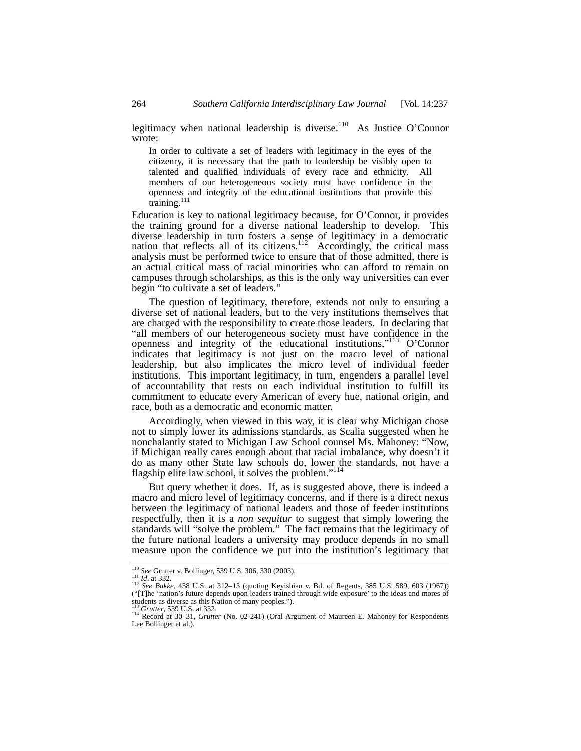legitimacy when national leadership is diverse.<sup>110</sup> As Justice O'Connor wrote:

In order to cultivate a set of leaders with legitimacy in the eyes of the citizenry, it is necessary that the path to leadership be visibly open to talented and qualified individuals of every race and ethnicity. All members of our heterogeneous society must have confidence in the openness and integrity of the educational institutions that provide this training.<sup>111</sup>

Education is key to national legitimacy because, for O'Connor, it provides the training ground for a diverse national leadership to develop. This diverse leadership in turn fosters a sense of legitimacy in a democratic nation that reflects all of its citizens.<sup>112</sup> Accordingly, the critical mass analysis must be performed twice to ensure that of those admitted, there is an actual critical mass of racial minorities who can afford to remain on campuses through scholarships, as this is the only way universities can ever begin "to cultivate a set of leaders."

The question of legitimacy, therefore, extends not only to ensuring a diverse set of national leaders, but to the very institutions themselves that are charged with the responsibility to create those leaders. In declaring that "all members of our heterogeneous society must have confidence in the openness and integrity of the educational institutions,"113 O'Connor indicates that legitimacy is not just on the macro level of national leadership, but also implicates the micro level of individual feeder institutions. This important legitimacy, in turn, engenders a parallel level of accountability that rests on each individual institution to fulfill its commitment to educate every American of every hue, national origin, and race, both as a democratic and economic matter.

Accordingly, when viewed in this way, it is clear why Michigan chose not to simply lower its admissions standards, as Scalia suggested when he nonchalantly stated to Michigan Law School counsel Ms. Mahoney: "Now, if Michigan really cares enough about that racial imbalance, why doesn't it do as many other State law schools do, lower the standards, not have a flagship elite law school, it solves the problem."<sup>114</sup>

But query whether it does. If, as is suggested above, there is indeed a macro and micro level of legitimacy concerns, and if there is a direct nexus between the legitimacy of national leaders and those of feeder institutions respectfully, then it is a *non sequitur* to suggest that simply lowering the standards will "solve the problem." The fact remains that the legitimacy of the future national leaders a university may produce depends in no small measure upon the confidence we put into the institution's legitimacy that

<sup>&</sup>lt;sup>110</sup> See Grutter v. Bollinger, 539 U.S. 306, 330 (2003).<br><sup>111</sup> *Id.* at 332.<br><sup>112</sup> See Bakke, 438 U.S. at 312–13 (quoting Keyishian v. Bd. of Regents, 385 U.S. 589, 603 (1967))<br>("[T]he 'nation's future depends upon leade students as diverse as this Nation of many peoples.").<br><sup>113</sup> Grutter, 539 U.S. at 332.

<sup>&</sup>lt;sup>114</sup> Record at 30–31, *Grutter* (No. 02-241) (Oral Argument of Maureen E. Mahoney for Respondents Lee Bollinger et al.).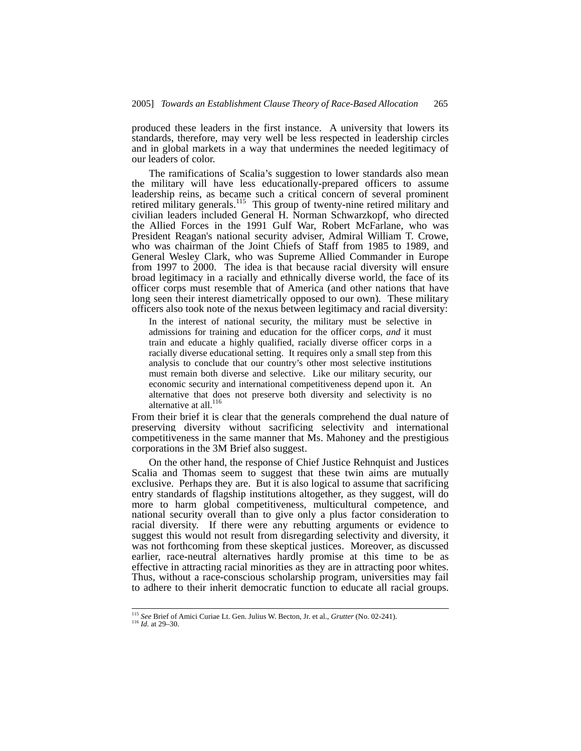produced these leaders in the first instance. A university that lowers its standards, therefore, may very well be less respected in leadership circles and in global markets in a way that undermines the needed legitimacy of our leaders of color.

The ramifications of Scalia's suggestion to lower standards also mean the military will have less educationally-prepared officers to assume leadership reins, as became such a critical concern of several prominent retired military generals.<sup>115</sup> This group of twenty-nine retired military and civilian leaders included General H. Norman Schwarzkopf, who directed the Allied Forces in the 1991 Gulf War, Robert McFarlane, who was President Reagan's national security adviser, Admiral William T. Crowe, who was chairman of the Joint Chiefs of Staff from 1985 to 1989, and General Wesley Clark, who was Supreme Allied Commander in Europe from 1997 to 2000. The idea is that because racial diversity will ensure broad legitimacy in a racially and ethnically diverse world, the face of its officer corps must resemble that of America (and other nations that have long seen their interest diametrically opposed to our own). These military officers also took note of the nexus between legitimacy and racial diversity:

In the interest of national security, the military must be selective in admissions for training and education for the officer corps, *and* it must train and educate a highly qualified, racially diverse officer corps in a racially diverse educational setting. It requires only a small step from this analysis to conclude that our country's other most selective institutions must remain both diverse and selective. Like our military security, our economic security and international competitiveness depend upon it. An alternative that does not preserve both diversity and selectivity is no alternative at all.<sup>116</sup>

From their brief it is clear that the generals comprehend the dual nature of preserving diversity without sacrificing selectivity and international competitiveness in the same manner that Ms. Mahoney and the prestigious corporations in the 3M Brief also suggest.

On the other hand, the response of Chief Justice Rehnquist and Justices Scalia and Thomas seem to suggest that these twin aims are mutually exclusive. Perhaps they are. But it is also logical to assume that sacrificing entry standards of flagship institutions altogether, as they suggest, will do more to harm global competitiveness, multicultural competence, and national security overall than to give only a plus factor consideration to racial diversity. If there were any rebutting arguments or evidence to suggest this would not result from disregarding selectivity and diversity, it was not forthcoming from these skeptical justices. Moreover, as discussed earlier, race-neutral alternatives hardly promise at this time to be as effective in attracting racial minorities as they are in attracting poor whites. Thus, without a race-conscious scholarship program, universities may fail to adhere to their inherit democratic function to educate all racial groups.

<sup>115</sup> *See* Brief of Amici Curiae Lt. Gen. Julius W. Becton, Jr. et al., *Grutter* (No. 02-241). 116 *Id.* at 29–30.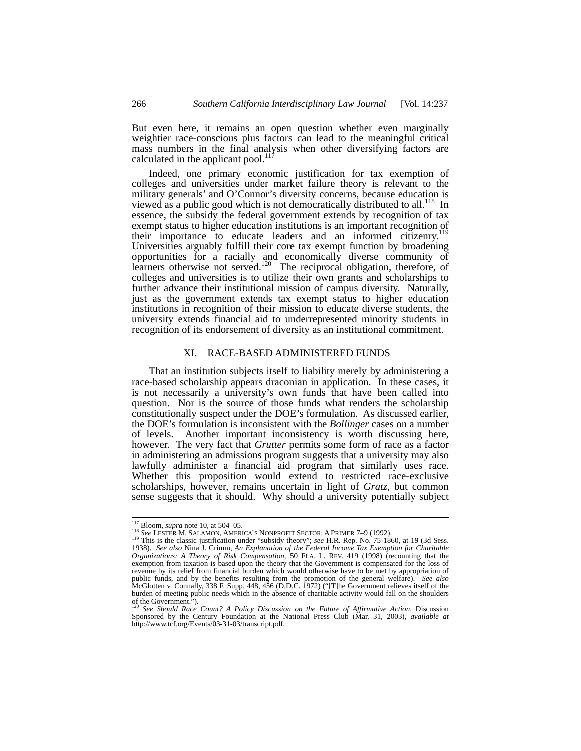But even here, it remains an open question whether even marginally weightier race-conscious plus factors can lead to the meaningful critical mass numbers in the final analysis when other diversifying factors are calculated in the applicant pool. $11$ <sup>7</sup>

Indeed, one primary economic justification for tax exemption of colleges and universities under market failure theory is relevant to the military generals' and O'Connor's diversity concerns, because education is viewed as a public good which is not democratically distributed to all.<sup>118</sup> In essence, the subsidy the federal government extends by recognition of tax exempt status to higher education institutions is an important recognition of<br>exempt status to higher education institutions is an important recognition of their importance to educate leaders and an informed citizenry.119 Universities arguably fulfill their core tax exempt function by broadening opportunities for a racially and economically diverse community of learners otherwise not served.<sup>120</sup> The reciprocal obligation, therefore, of colleges and universities is to utilize their own grants and scholarships to further advance their institutional mission of campus diversity. Naturally, just as the government extends tax exempt status to higher education institutions in recognition of their mission to educate diverse students, the university extends financial aid to underrepresented minority students in recognition of its endorsement of diversity as an institutional commitment.

## XI. RACE-BASED ADMINISTERED FUNDS

That an institution subjects itself to liability merely by administering a race-based scholarship appears draconian in application. In these cases, it is not necessarily a university's own funds that have been called into question. Nor is the source of those funds what renders the scholarship constitutionally suspect under the DOE's formulation. As discussed earlier, the DOE's formulation is inconsistent with the *Bollinger* cases on a number of levels. Another important inconsistency is worth discussing here, however. The very fact that *Grutter* permits some form of race as a factor in administering an admissions program suggests that a university may also lawfully administer a financial aid program that similarly uses race. Whether this proposition would extend to restricted race-exclusive scholarships, however, remains uncertain in light of *Gratz*, but common sense suggests that it should. Why should a university potentially subject

<sup>&</sup>lt;sup>117</sup> Bloom, *supra* note 10, at 504–05.<br><sup>118</sup> See LESTER M. SALAMON, AMERICA'S NONPROFIT SECTOR: A PRIMER 7–9 (1992).<br><sup>119</sup> This is the classic justification under "subsidy theory"; *see* H.R. Rep. No. 75-1860, at 19 (3d *Organizations: A Theory of Risk Compensation*, 50 FLA. L. REV. 419 (1998) (recounting that the exemption from taxation is based upon the theory that the Government is compensated for the loss of revenue by its relief from financial burden which would otherwise have to be met by appropriation of public funds, and by the benefits resulting from the promotion of the general welfare). See also<br>McGlotten v. Connally, 338 F. Supp. 448, 456 (D.D.C. 1972) ("[T]he Government relieves itself of the<br>burden of meeting public

of the Government.").<br><sup>120</sup> See Should Race Count? A Policy Discussion on the Future of Affirmative Action, Discussion<br>Sponsored by the Century Foundation at the National Press Club (Mar. 31, 2003), available at http://www.tcf.org/Events/03-31-03/transcript.pdf.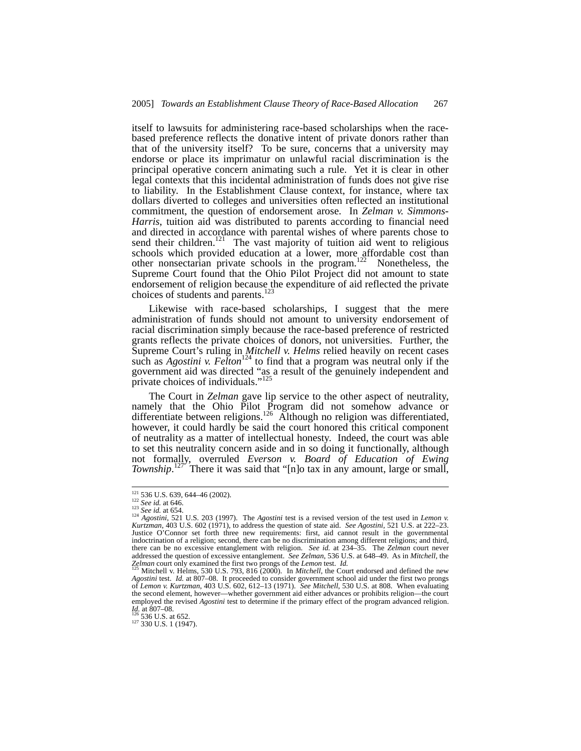itself to lawsuits for administering race-based scholarships when the racebased preference reflects the donative intent of private donors rather than that of the university itself? To be sure, concerns that a university may endorse or place its imprimatur on unlawful racial discrimination is the principal operative concern animating such a rule. Yet it is clear in other legal contexts that this incidental administration of funds does not give rise to liability. In the Establishment Clause context, for instance, where tax dollars diverted to colleges and universities often reflected an institutional commitment, the question of endorsement arose. In *Zelman v. Simmons-Harris*, tuition aid was distributed to parents according to financial need and directed in accordance with parental wishes of where parents chose to send their children.<sup>121</sup> The vast majority of tuition aid went to religious schools which provided education at a lower, more affordable cost than other nonsectarian private schools in the program.122 Nonetheless, the Supreme Court found that the Ohio Pilot Project did not amount to state endorsement of religion because the expenditure of aid reflected the private choices of students and parents.<sup>123</sup>

Likewise with race-based scholarships, I suggest that the mere administration of funds should not amount to university endorsement of racial discrimination simply because the race-based preference of restricted grants reflects the private choices of donors, not universities. Further, the Supreme Court's ruling in *Mitchell v. Helms* relied heavily on recent cases such as *Agostini v. Felton*<sup>124</sup> to find that a program was neutral only if the government aid was directed "as a result of the genuinely independent and private choices of individuals."<sup>125</sup>

The Court in *Zelman* gave lip service to the other aspect of neutrality, namely that the Ohio Pilot Program did not somehow advance or differentiate between religions.<sup>126</sup> Although no religion was differentiated, however, it could hardly be said the court honored this critical component of neutrality as a matter of intellectual honesty. Indeed, the court was able to set this neutrality concern aside and in so doing it functionally, although not formally, overruled *Everson v. Board of Education of Ewing Township*.<sup>127'</sup> There it was said that "[n]o tax in any amount, large or small,

<sup>&</sup>lt;sup>121</sup> 536 U.S. 639, 644–46 (2002).<br><sup>122</sup> *See id.* at 646.<br><sup>123</sup> *See id.* at 654. 124 *Agostini*, 521 U.S. 203 (1997). The *Agostini* test is a revised version of the test used in *Lemon v. Kurtzman*, 403 U.S. 602 (1971), to address the question of state aid. *See Agostini*, 521 U.S. at 222–23. Justice O'Connor set forth three new requirements: first, aid cannot result in the governmental indoctrination of a religion; second, there can be no discrimination among different religions; and third, there can be no excessive entanglement with religion. *See id.* at 234–35. The *Zelman* court never addressed the question of excessive entanglement. *See Zelman*, 536 U.S. at 648–49. As in *Mitchell,* the *Zelman* court only examined the first two prongs of the *Lemon* test. *Id.* 125 Mitchell v. Helms, 530 U.S. 793, 816 (2000). In *Mitchell*, the Court endorsed and defined the new

*Agostini* test. *Id.* at 807–08. It proceeded to consider government school aid under the first two prongs of *Lemon v. Kurtzman,* 403 U.S. 602, 612–13 (1971). *See Mitchell*, 530 U.S. at 808. When evaluating the second element, however—whether government aid either advances or prohibits religion—the court employed the revised *Agostini* test to determine if the primary effect of the program advanced religion. *Id.* at 807–08.<br>
<sup>126</sup> 536 U.S. at 652.<br>
<sup>127</sup> 330 U.S. 1 (1947).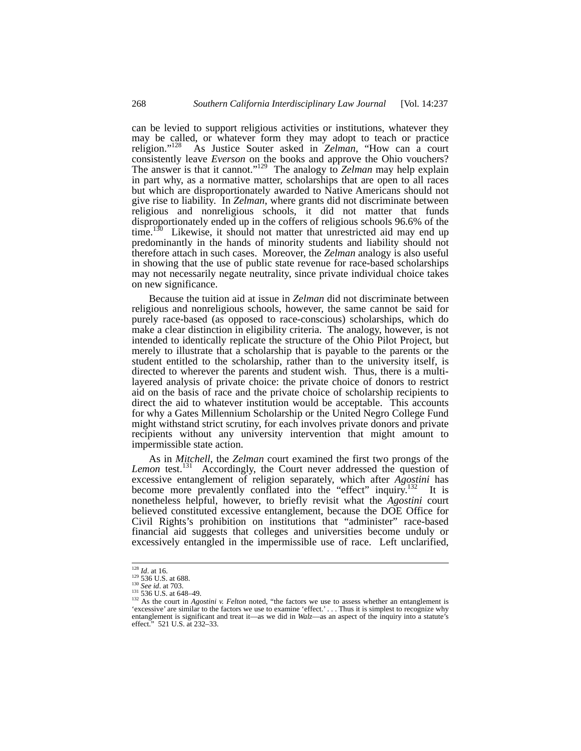can be levied to support religious activities or institutions, whatever they may be called, or whatever form they may adopt to teach or practice religion."128 As Justice Souter asked in *Zelman*, "How can a court consistently leave *Everson* on the books and approve the Ohio vouchers? The answer is that it cannot."129 The analogy to *Zelman* may help explain in part why, as a normative matter, scholarships that are open to all races but which are disproportionately awarded to Native Americans should not give rise to liability. In *Zelman*, where grants did not discriminate between religious and nonreligious schools, it did not matter that funds disproportionately ended up in the coffers of religious schools 96.6% of the time.<sup>130</sup> Likewise, it should not matter that unrestricted aid may end up predominantly in the hands of minority students and liability should not therefore attach in such cases. Moreover, the *Zelman* analogy is also useful in showing that the use of public state revenue for race-based scholarships may not necessarily negate neutrality, since private individual choice takes on new significance.

Because the tuition aid at issue in *Zelman* did not discriminate between religious and nonreligious schools, however, the same cannot be said for purely race-based (as opposed to race-conscious) scholarships, which do make a clear distinction in eligibility criteria. The analogy, however, is not intended to identically replicate the structure of the Ohio Pilot Project, but merely to illustrate that a scholarship that is payable to the parents or the student entitled to the scholarship, rather than to the university itself, is directed to wherever the parents and student wish. Thus, there is a multilayered analysis of private choice: the private choice of donors to restrict aid on the basis of race and the private choice of scholarship recipients to direct the aid to whatever institution would be acceptable. This accounts for why a Gates Millennium Scholarship or the United Negro College Fund might withstand strict scrutiny, for each involves private donors and private recipients without any university intervention that might amount to impermissible state action.

As in *Mitchell*, the *Zelman* court examined the first two prongs of the Lemon test.<sup>131</sup> Accordingly, the Court never addressed the question of excessive entanglement of religion separately, which after *Agostini* has become more prevalently conflated into the "effect" inquiry.<sup>132</sup> It is nonetheless helpful, however, to briefly revisit what the *Agostini* court believed constituted excessive entanglement, because the DOE Office for Civil Rights's prohibition on institutions that "administer" race-based financial aid suggests that colleges and universities become unduly or excessively entangled in the impermissible use of race. Left unclarified,

<sup>&</sup>lt;sup>128</sup> *Id.* at 16.<br><sup>129</sup> 536 U.S. at 688.<br><sup>130</sup> *See id.* at 703.<br><sup>131</sup> 536 U.S. at 648–49.<br><sup>132</sup> As the court in *Agostini v. Felton* noted, "the factors we use to assess whether an entanglement is 'excessive' are similar to the factors we use to examine 'effect.' . . . Thus it is simplest to recognize why entanglement is significant and treat it—as we did in *Walz*—as an aspect of the inquiry into a statute's effect." 521 U.S. at 232–33.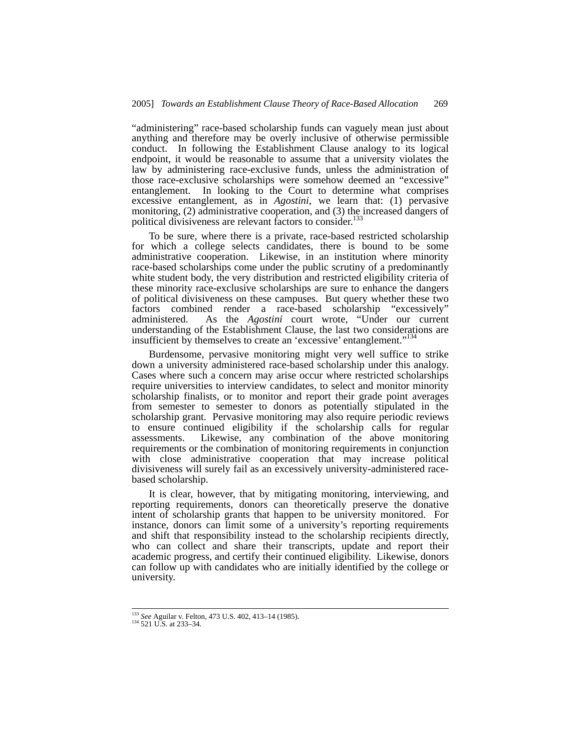"administering" race-based scholarship funds can vaguely mean just about anything and therefore may be overly inclusive of otherwise permissible conduct. In following the Establishment Clause analogy to its logical endpoint, it would be reasonable to assume that a university violates the law by administering race-exclusive funds, unless the administration of those race-exclusive scholarships were somehow deemed an "excessive" entanglement. In looking to the Court to determine what comprises excessive entanglement, as in *Agostini*, we learn that: (1) pervasive monitoring, (2) administrative cooperation, and (3) the increased dangers of political divisiveness are relevant factors to consider.<sup>1</sup>

To be sure, where there is a private, race-based restricted scholarship for which a college selects candidates, there is bound to be some administrative cooperation. Likewise, in an institution where minority race-based scholarships come under the public scrutiny of a predominantly white student body, the very distribution and restricted eligibility criteria of these minority race-exclusive scholarships are sure to enhance the dangers of political divisiveness on these campuses. But query whether these two factors combined render a race-based scholarship "excessively" administered. As the *Agostini* court wrote, "Under our current understanding of the Establishment Clause, the last two considerations are insufficient by themselves to create an 'excessive' entanglement."<sup>13</sup>

Burdensome, pervasive monitoring might very well suffice to strike down a university administered race-based scholarship under this analogy. Cases where such a concern may arise occur where restricted scholarships require universities to interview candidates, to select and monitor minority scholarship finalists, or to monitor and report their grade point averages from semester to semester to donors as potentially stipulated in the scholarship grant. Pervasive monitoring may also require periodic reviews to ensure continued eligibility if the scholarship calls for regular assessments. Likewise, any combination of the above monitoring requirements or the combination of monitoring requirements in conjunction with close administrative cooperation that may increase political divisiveness will surely fail as an excessively university-administered racebased scholarship.

It is clear, however, that by mitigating monitoring, interviewing, and reporting requirements, donors can theoretically preserve the donative intent of scholarship grants that happen to be university monitored. For instance, donors can limit some of a university's reporting requirements and shift that responsibility instead to the scholarship recipients directly, who can collect and share their transcripts, update and report their academic progress, and certify their continued eligibility. Likewise, donors can follow up with candidates who are initially identified by the college or university.

<sup>133</sup> *See* Aguilar v. Felton, 473 U.S. 402, 413–14 (1985). 134 521 U.S. at 233–34.